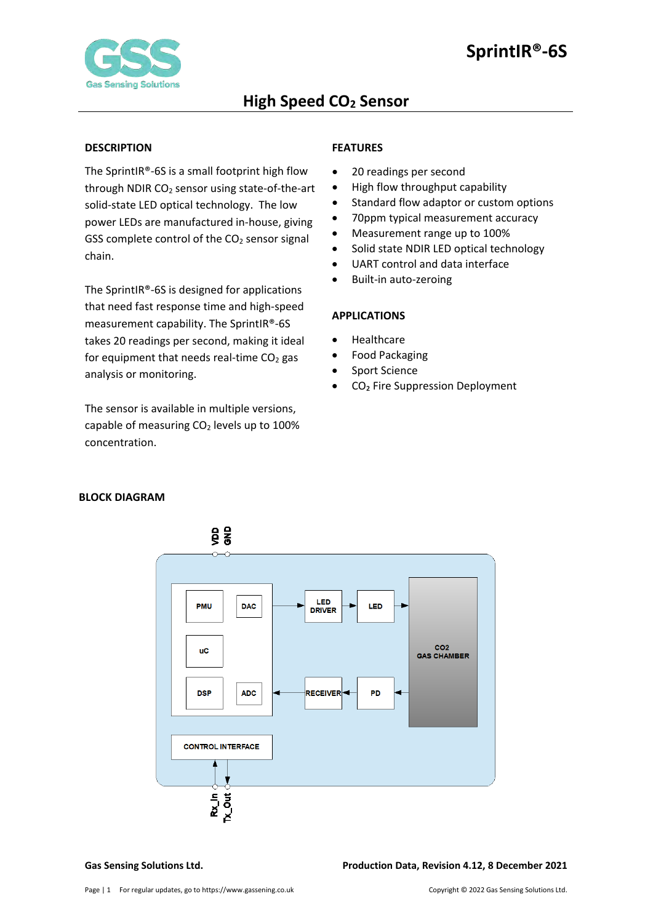

## <span id="page-0-0"></span>**DESCRIPTION**

The SprintIR®-6S is a small footprint high flow through NDIR CO2 sensor using state-of-the-art solid-state LED optical technology. The low power LEDs are manufactured in-house, giving GSS complete control of the  $CO<sub>2</sub>$  sensor signal chain.

The SprintIR®-6S is designed for applications that need fast response time and high-speed measurement capability. The SprintIR®-6S takes 20 readings per second, making it ideal for equipment that needs real-time  $CO<sub>2</sub>$  gas analysis or monitoring.

The sensor is available in multiple versions, capable of measuring  $CO<sub>2</sub>$  levels up to 100% concentration.

# <span id="page-0-1"></span>**FEATURES**

- 20 readings per second
- High flow throughput capability
- Standard flow adaptor or custom options
- 70ppm typical measurement accuracy
- Measurement range up to 100%
- Solid state NDIR LED optical technology
- UART control and data interface
- Built-in auto-zeroing

### <span id="page-0-2"></span>**APPLICATIONS**

- Healthcare
- Food Packaging
- Sport Science
- CO<sub>2</sub> Fire Suppression Deployment

# <span id="page-0-3"></span>**BLOCK DIAGRAM**

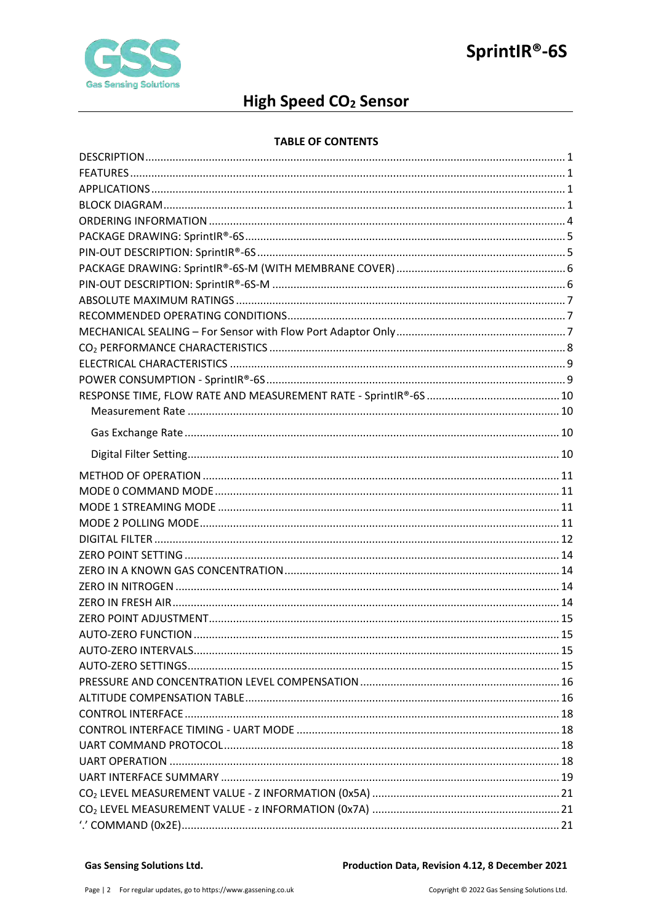

# High Speed CO<sub>2</sub> Sensor

## **TABLE OF CONTENTS**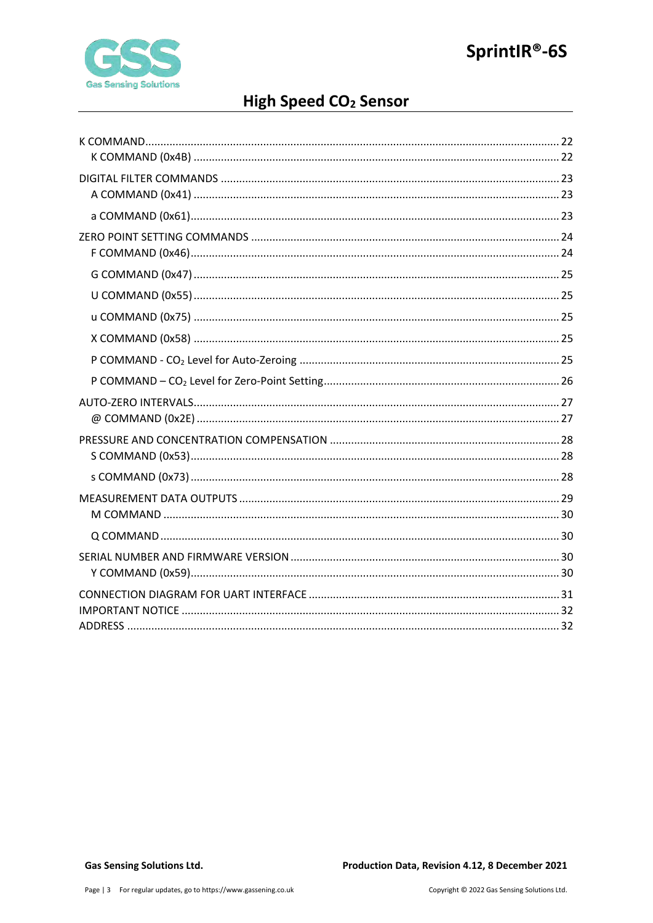

# High Speed CO<sub>2</sub> Sensor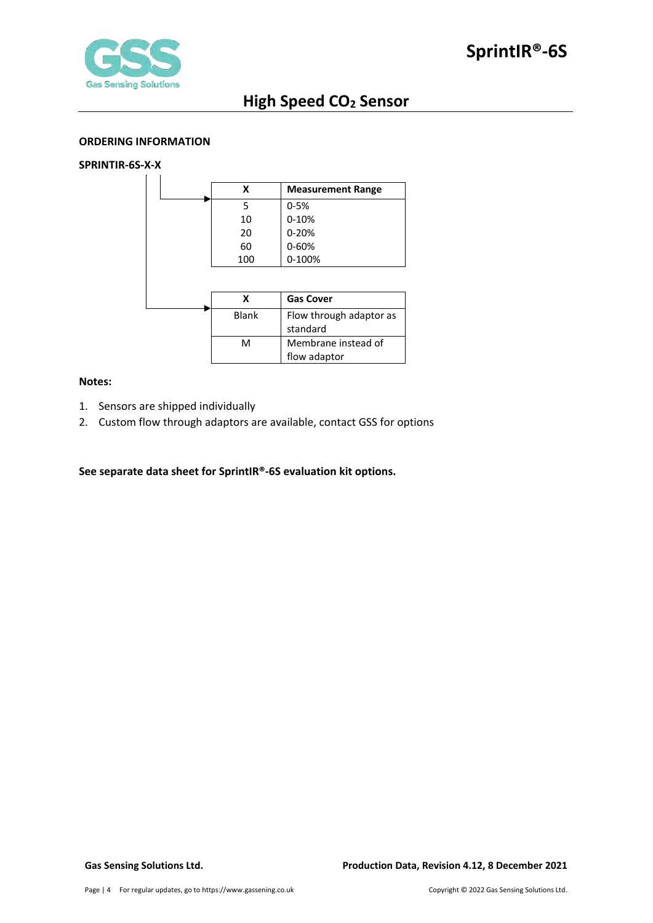

### <span id="page-3-0"></span>**ORDERING INFORMATION**

# **SPRINTIR-6S-X-X**

| x   | <b>Measurement Range</b> |
|-----|--------------------------|
|     | $0 - 5%$                 |
| 10  | $0 - 10%$                |
| 20  | $0 - 20%$                |
| 60  | 0-60%                    |
| 100 | 0-100%                   |

|       | <b>Gas Cover</b>        |
|-------|-------------------------|
| Blank | Flow through adaptor as |
|       | standard                |
| м     | Membrane instead of     |
|       | flow adaptor            |

## **Notes:**

- 1. Sensors are shipped individually
- 2. Custom flow through adaptors are available, contact GSS for options

# **See separate data sheet for SprintIR®-6S evaluation kit options.**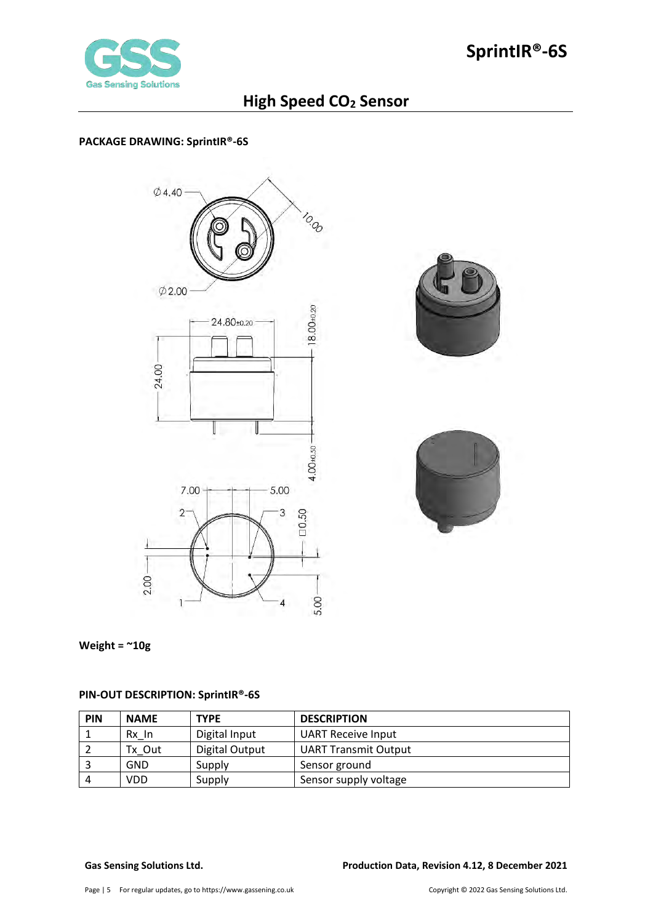

# <span id="page-4-0"></span>**PACKAGE DRAWING: SprintIR®-6S**







**Weight = ~10g** 

# <span id="page-4-1"></span>**PIN-OUT DESCRIPTION: SprintIR®-6S**

| PIN | <b>NAME</b> | <b>TYPE</b>    | <b>DESCRIPTION</b>          |
|-----|-------------|----------------|-----------------------------|
|     | Rx In       | Digital Input  | <b>UART Receive Input</b>   |
|     | Tx Out      | Digital Output | <b>UART Transmit Output</b> |
|     | GND         | Supply         | Sensor ground               |
| 4   | VDD         | Supply         | Sensor supply voltage       |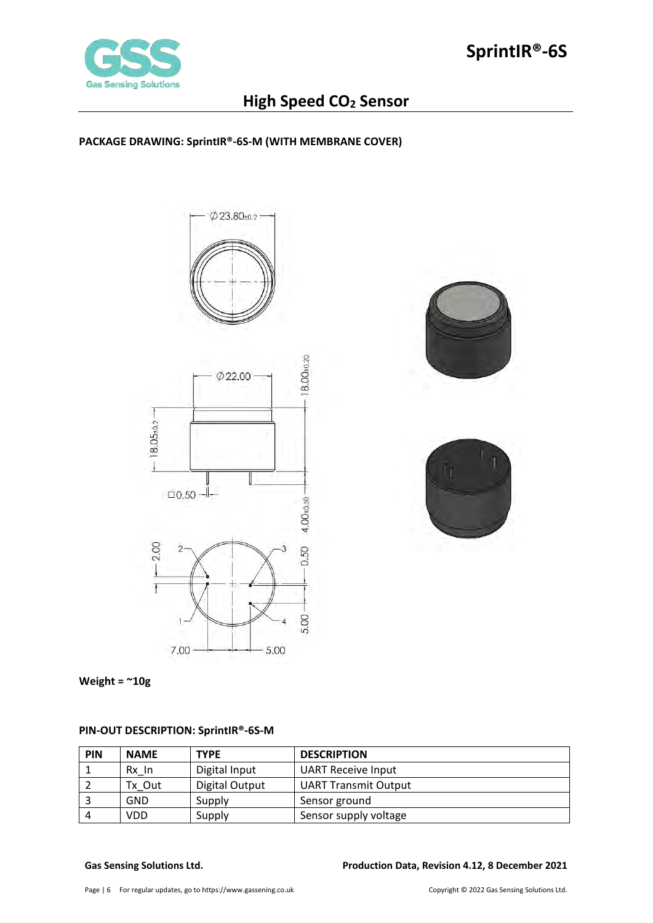

# <span id="page-5-0"></span>**PACKAGE DRAWING: SprintIR®-6S-M (WITH MEMBRANE COVER)**







**Weight = ~10g** 

# <span id="page-5-1"></span>**PIN-OUT DESCRIPTION: SprintIR®-6S-M**

| <b>PIN</b> | <b>NAME</b> | <b>TYPE</b>    | <b>DESCRIPTION</b>          |
|------------|-------------|----------------|-----------------------------|
|            | Rx In       | Digital Input  | <b>UART Receive Input</b>   |
|            | Tx Out      | Digital Output | <b>UART Transmit Output</b> |
|            | GND         | Supply         | Sensor ground               |
| 4          | VDD         | Supply         | Sensor supply voltage       |

## **Gas Sensing Solutions Ltd. Production Data, Revision 4.12, 8 December 2021**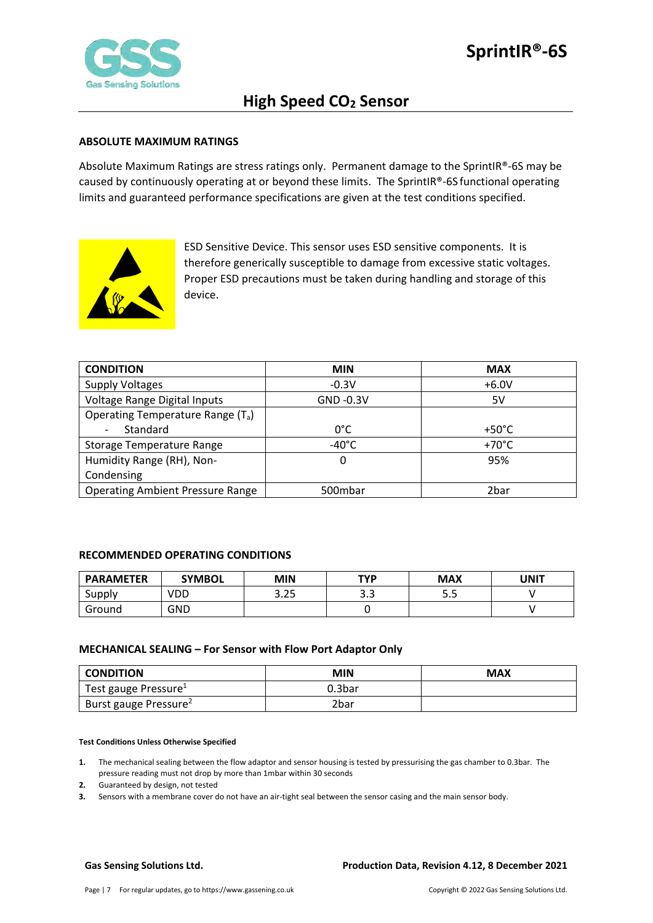

### <span id="page-6-0"></span>**ABSOLUTE MAXIMUM RATINGS**

Absolute Maximum Ratings are stress ratings only. Permanent damage to the SprintIR®-6S may be caused by continuously operating at or beyond these limits. The SprintIR®-6S functional operating limits and guaranteed performance specifications are given at the test conditions specified.



ESD Sensitive Device. This sensor uses ESD sensitive components. It is therefore generically susceptible to damage from excessive static voltages. Proper ESD precautions must be taken during handling and storage of this device.

| <b>CONDITION</b>                              | <b>MIN</b>      | <b>MAX</b>      |
|-----------------------------------------------|-----------------|-----------------|
| <b>Supply Voltages</b>                        | $-0.3V$         | $+6.0V$         |
| Voltage Range Digital Inputs                  | GND -0.3V       | 5V              |
| Operating Temperature Range (T <sub>a</sub> ) |                 |                 |
| Standard                                      | $0^{\circ}$ C   | $+50^{\circ}$ C |
| Storage Temperature Range                     | $-40^{\circ}$ C | $+70^{\circ}$ C |
| Humidity Range (RH), Non-                     | 0               | 95%             |
| Condensing                                    |                 |                 |
| <b>Operating Ambient Pressure Range</b>       | 500mbar         | 2bar            |

## <span id="page-6-1"></span>**RECOMMENDED OPERATING CONDITIONS**

| <b>PARAMETER</b> | <b>SYMBOL</b> | MIN          | <b>TYP</b>        | <b>MAX</b> | UNIT |
|------------------|---------------|--------------|-------------------|------------|------|
| Supply           | VDD           | חר ר<br>د∡.د | $\Omega$<br>ں . ب | ر.ر        |      |
| Ground           | GND           |              |                   |            |      |

#### <span id="page-6-2"></span>**MECHANICAL SEALING – For Sensor with Flow Port Adaptor Only**

| <b>CONDITION</b>                  | MIN    | <b>MAX</b> |
|-----------------------------------|--------|------------|
| Test gauge Pressure <sup>1</sup>  | 0.3bar |            |
| Burst gauge Pressure <sup>2</sup> | 2bar   |            |

#### **Test Conditions Unless Otherwise Specified**

**1.** The mechanical sealing between the flow adaptor and sensor housing is tested by pressurising the gas chamber to 0.3bar. The pressure reading must not drop by more than 1mbar within 30 seconds

- **2.** Guaranteed by design, not tested
- **3.** Sensors with a membrane cover do not have an air-tight seal between the sensor casing and the main sensor body.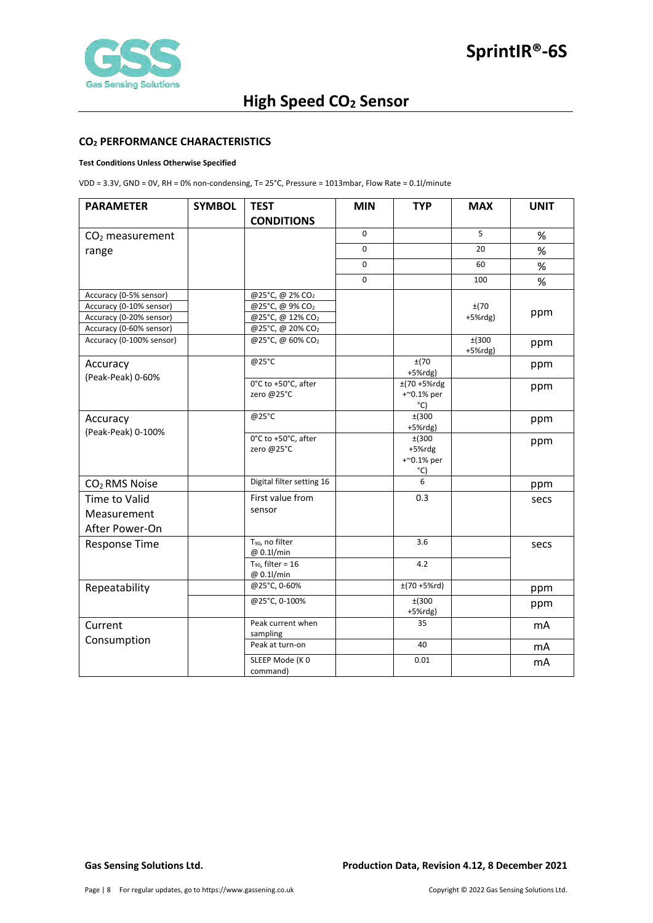

#### <span id="page-7-0"></span>**CO2 PERFORMANCE CHARACTERISTICS**

#### **Test Conditions Unless Otherwise Specified**

VDD = 3.3V, GND = 0V, RH = 0% non-condensing, T= 25°C, Pressure = 1013mbar, Flow Rate = 0.1l/minute

| <b>PARAMETER</b>               | <b>SYMBOL</b> | <b>TEST</b>                               | <b>MIN</b>  | <b>TYP</b>                                        | <b>MAX</b>             | <b>UNIT</b>    |
|--------------------------------|---------------|-------------------------------------------|-------------|---------------------------------------------------|------------------------|----------------|
|                                |               | <b>CONDITIONS</b>                         |             |                                                   |                        |                |
| CO <sub>2</sub> measurement    |               |                                           | 0           |                                                   | 5                      | $\%$           |
| range                          |               |                                           | $\mathsf 0$ |                                                   | 20                     | $\%$           |
|                                |               |                                           | 0           |                                                   | 60                     | %              |
|                                |               |                                           | 0           |                                                   | 100                    | $\%$           |
| Accuracy (0-5% sensor)         |               | @25°C, @ 2% CO2                           |             |                                                   |                        |                |
| Accuracy (0-10% sensor)        |               | @25°C, @ 9% CO2                           |             |                                                   | ±(70                   |                |
| Accuracy (0-20% sensor)        |               | @25°C, @ 12% CO2                          |             |                                                   | $+5%$ rdg)             | ppm            |
| Accuracy (0-60% sensor)        |               | @25°C, @ 20% CO2                          |             |                                                   |                        |                |
| Accuracy (0-100% sensor)       |               | @25°C, @ 60% CO2                          |             |                                                   | $±$ (300<br>$+5%$ rdg) | ppm            |
| Accuracy                       |               | @25°C                                     |             | ±(70<br>$+5%$ rdg)                                |                        | ppm            |
| (Peak-Peak) 0-60%              |               | 0°C to +50°C, after<br>zero @25°C         |             | $±(70 + 5%$ rdg<br>$+$ ~0.1% per<br>$^{\circ}$ C) |                        | ppm            |
| Accuracy<br>(Peak-Peak) 0-100% |               | @25°C                                     |             | ±(300)<br>$+5%$ rdg)                              |                        | ppm            |
|                                |               | 0°C to +50°C, after<br>zero @25°C         |             | ±(300<br>+5%rdg<br>+~0.1% per<br>°C)              |                        | ppm            |
| CO <sub>2</sub> RMS Noise      |               | Digital filter setting 16                 |             | 6                                                 |                        | ppm            |
| <b>Time to Valid</b>           |               | First value from                          |             | 0.3                                               |                        | secs           |
| Measurement                    |               | sensor                                    |             |                                                   |                        |                |
| After Power-On                 |               |                                           |             |                                                   |                        |                |
| <b>Response Time</b>           |               | T <sub>90</sub> , no filter<br>@ 0.1l/min |             | 3.6                                               |                        | secs           |
|                                |               | $T_{90}$ , filter = 16<br>@ 0.1l/min      |             | 4.2                                               |                        |                |
| Repeatability                  |               | @25°C, 0-60%                              |             | $±(70+5%rd)$                                      |                        | ppm            |
|                                |               | @25°C, 0-100%                             |             | ±(300<br>$+5%$ rdg)                               |                        | ppm            |
| Current                        |               | Peak current when<br>sampling             |             | 35                                                |                        | mA             |
| Consumption                    |               | Peak at turn-on                           |             | 40                                                |                        | mA             |
|                                |               | SLEEP Mode (KO<br>command)                |             | 0.01                                              |                        | m <sub>A</sub> |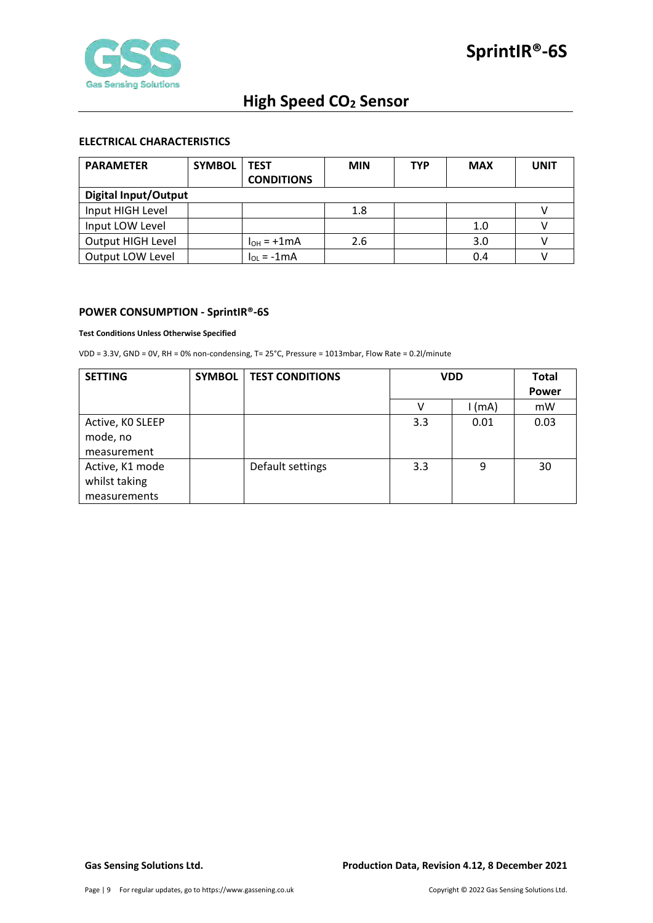

## <span id="page-8-0"></span>**ELECTRICAL CHARACTERISTICS**

| <b>PARAMETER</b>            | <b>SYMBOL</b> | <b>TEST</b>       | <b>MIN</b> | <b>TYP</b> | <b>MAX</b> | UNIT |
|-----------------------------|---------------|-------------------|------------|------------|------------|------|
|                             |               | <b>CONDITIONS</b> |            |            |            |      |
| <b>Digital Input/Output</b> |               |                   |            |            |            |      |
| Input HIGH Level            |               |                   | 1.8        |            |            |      |
| Input LOW Level             |               |                   |            |            | 1.0        |      |
| Output HIGH Level           |               | $I_{OH}$ = +1mA   | 2.6        |            | 3.0        |      |
| Output LOW Level            |               | $I_{01} = -1mA$   |            |            | 0.4        |      |

### <span id="page-8-1"></span>**POWER CONSUMPTION - SprintIR®-6S**

#### **Test Conditions Unless Otherwise Specified**

VDD = 3.3V, GND = 0V, RH = 0% non-condensing, T= 25°C, Pressure = 1013mbar, Flow Rate = 0.2l/minute

| <b>SETTING</b>   | <b>SYMBOL</b> | <b>TEST CONDITIONS</b> | <b>VDD</b> |        | Total |
|------------------|---------------|------------------------|------------|--------|-------|
|                  |               |                        |            |        | Power |
|                  |               |                        |            | l (mA) | mW    |
| Active, KO SLEEP |               |                        | 3.3        | 0.01   | 0.03  |
| mode, no         |               |                        |            |        |       |
| measurement      |               |                        |            |        |       |
| Active, K1 mode  |               | Default settings       | 3.3        | 9      | 30    |
| whilst taking    |               |                        |            |        |       |
| measurements     |               |                        |            |        |       |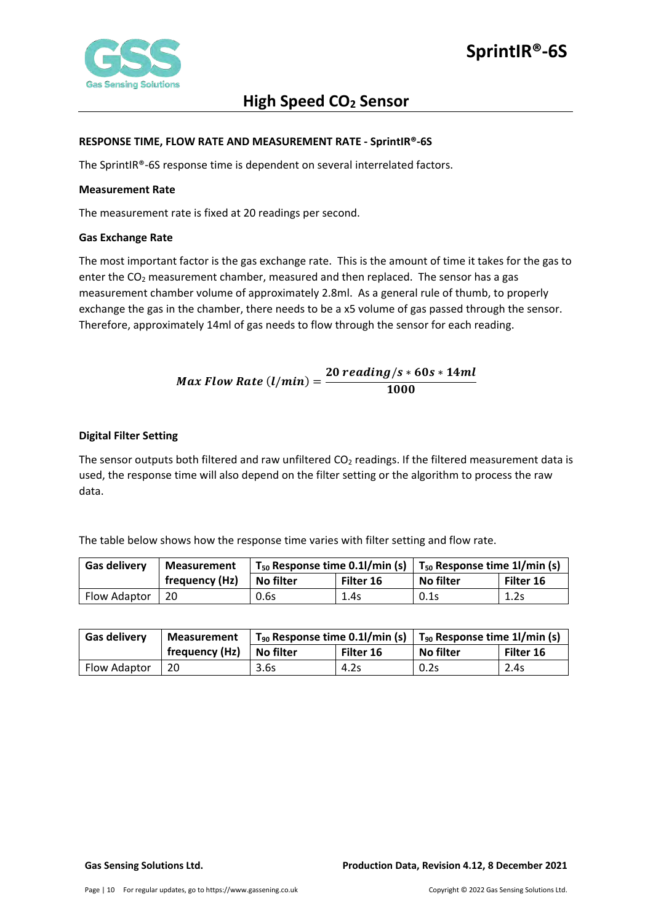

### <span id="page-9-0"></span>**RESPONSE TIME, FLOW RATE AND MEASUREMENT RATE - SprintIR®-6S**

The SprintIR®-6S response time is dependent on several interrelated factors.

### <span id="page-9-1"></span>**Measurement Rate**

The measurement rate is fixed at 20 readings per second.

### <span id="page-9-2"></span>**Gas Exchange Rate**

The most important factor is the gas exchange rate. This is the amount of time it takes for the gas to enter the  $CO<sub>2</sub>$  measurement chamber, measured and then replaced. The sensor has a gas measurement chamber volume of approximately 2.8ml. As a general rule of thumb, to properly exchange the gas in the chamber, there needs to be a x5 volume of gas passed through the sensor. Therefore, approximately 14ml of gas needs to flow through the sensor for each reading.

$$
Max Flow Rate (l/min) = \frac{20\ reading/s * 60s * 14ml}{1000}
$$

## <span id="page-9-3"></span>**Digital Filter Setting**

The sensor outputs both filtered and raw unfiltered  $CO<sub>2</sub>$  readings. If the filtered measurement data is used, the response time will also depend on the filter setting or the algorithm to process the raw data.

The table below shows how the response time varies with filter setting and flow rate.

| <b>Gas delivery</b> | <b>Measurement</b> | $T_{50}$ Response time 0.1l/min (s) |           | $\mid$ T <sub>50</sub> Response time 1l/min (s) |           |
|---------------------|--------------------|-------------------------------------|-----------|-------------------------------------------------|-----------|
|                     | frequency (Hz)     | No filter                           | Filter 16 | No filter                                       | Filter 16 |
| Flow Adaptor        | 20                 | 0.6s                                | 1.4s      | 0.1s                                            | 1.2s      |

| <b>Gas delivery</b> | Measurement    | $T_{90}$ Response time 0.1l/min (s) |           | $\mid$ T <sub>90</sub> Response time 1l/min (s) |           |
|---------------------|----------------|-------------------------------------|-----------|-------------------------------------------------|-----------|
|                     | frequency (Hz) | <b>No filter</b>                    | Filter 16 | No filter                                       | Filter 16 |
| Flow Adaptor        | 20             | 3.6s                                | 4.2s      | 0.2s                                            | 2.4s      |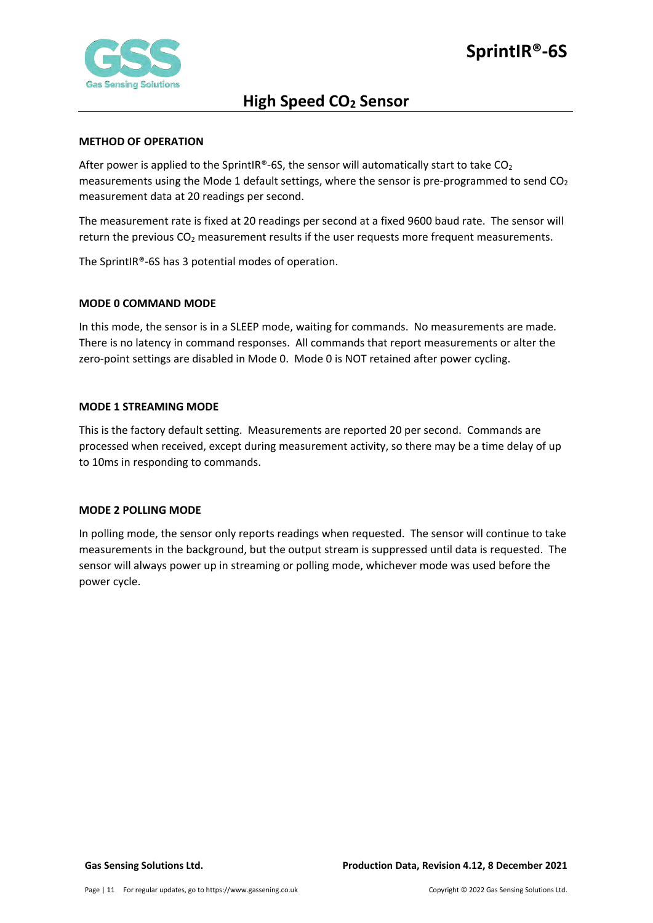

### <span id="page-10-0"></span>**METHOD OF OPERATION**

After power is applied to the SprintIR®-6S, the sensor will automatically start to take  $CO<sub>2</sub>$ measurements using the Mode 1 default settings, where the sensor is pre-programmed to send  $CO<sub>2</sub>$ measurement data at 20 readings per second.

The measurement rate is fixed at 20 readings per second at a fixed 9600 baud rate. The sensor will return the previous  $CO<sub>2</sub>$  measurement results if the user requests more frequent measurements.

The SprintIR®-6S has 3 potential modes of operation.

### <span id="page-10-1"></span>**MODE 0 COMMAND MODE**

In this mode, the sensor is in a SLEEP mode, waiting for commands. No measurements are made. There is no latency in command responses. All commands that report measurements or alter the zero-point settings are disabled in Mode 0. Mode 0 is NOT retained after power cycling.

### <span id="page-10-2"></span>**MODE 1 STREAMING MODE**

This is the factory default setting. Measurements are reported 20 per second. Commands are processed when received, except during measurement activity, so there may be a time delay of up to 10ms in responding to commands.

#### <span id="page-10-3"></span>**MODE 2 POLLING MODE**

In polling mode, the sensor only reports readings when requested. The sensor will continue to take measurements in the background, but the output stream is suppressed until data is requested. The sensor will always power up in streaming or polling mode, whichever mode was used before the power cycle.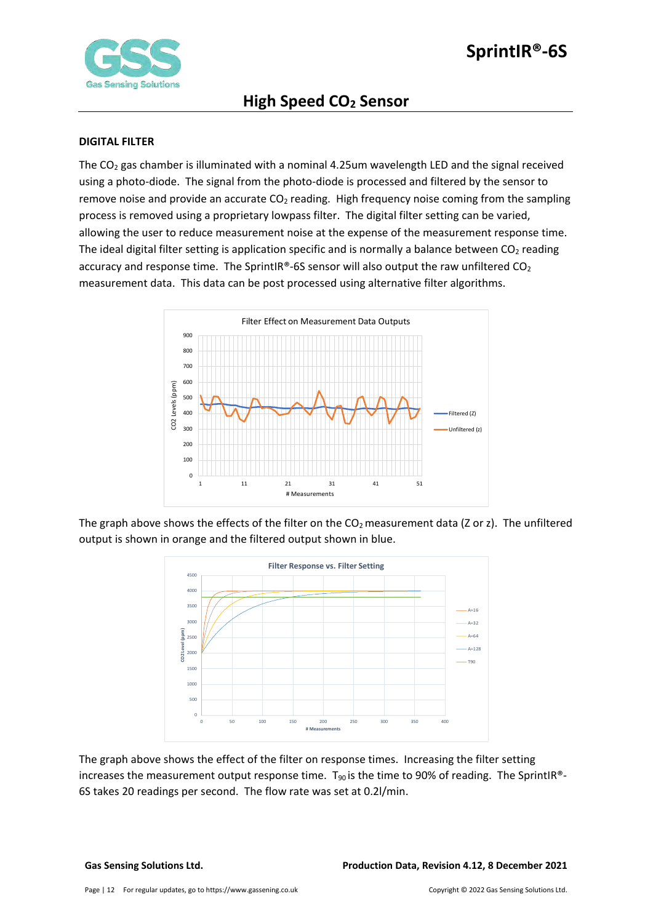

## <span id="page-11-0"></span>**DIGITAL FILTER**

The  $CO<sub>2</sub>$  gas chamber is illuminated with a nominal 4.25um wavelength LED and the signal received using a photo-diode. The signal from the photo-diode is processed and filtered by the sensor to remove noise and provide an accurate  $CO<sub>2</sub>$  reading. High frequency noise coming from the sampling process is removed using a proprietary lowpass filter. The digital filter setting can be varied, allowing the user to reduce measurement noise at the expense of the measurement response time. The ideal digital filter setting is application specific and is normally a balance between  $CO<sub>2</sub>$  reading accuracy and response time. The SprintIR®-6S sensor will also output the raw unfiltered  $CO<sub>2</sub>$ measurement data. This data can be post processed using alternative filter algorithms.



The graph above shows the effects of the filter on the  $CO<sub>2</sub>$  measurement data (Z or z). The unfiltered output is shown in orange and the filtered output shown in blue.



The graph above shows the effect of the filter on response times. Increasing the filter setting increases the measurement output response time.  $T_{90}$  is the time to 90% of reading. The SprintIR®-6S takes 20 readings per second. The flow rate was set at 0.2l/min.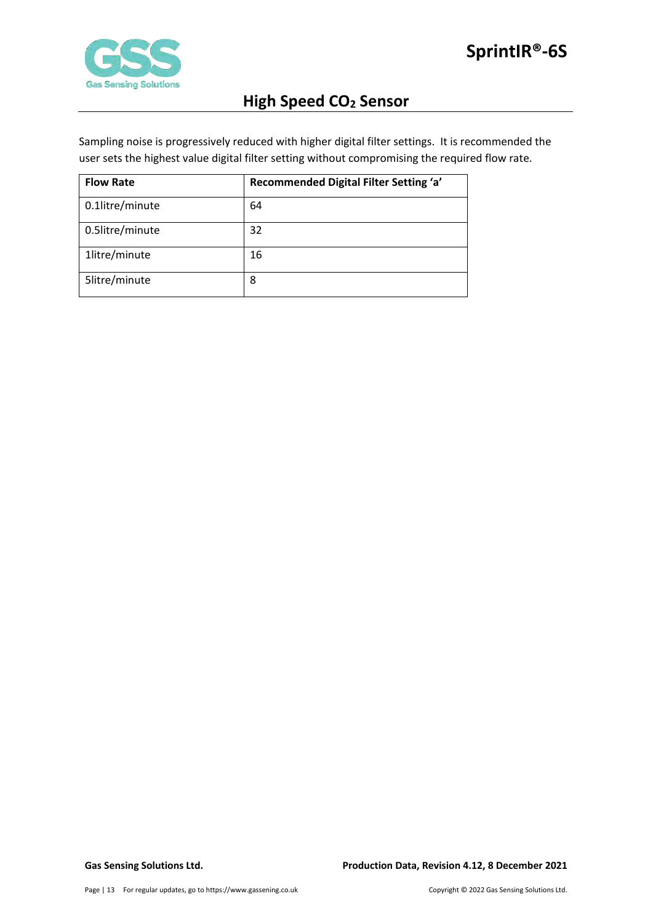

Sampling noise is progressively reduced with higher digital filter settings. It is recommended the user sets the highest value digital filter setting without compromising the required flow rate.

| <b>Flow Rate</b> | Recommended Digital Filter Setting 'a' |
|------------------|----------------------------------------|
| 0.1litre/minute  | 64                                     |
| 0.5litre/minute  | 32                                     |
| 1litre/minute    | 16                                     |
| 5litre/minute    | 8                                      |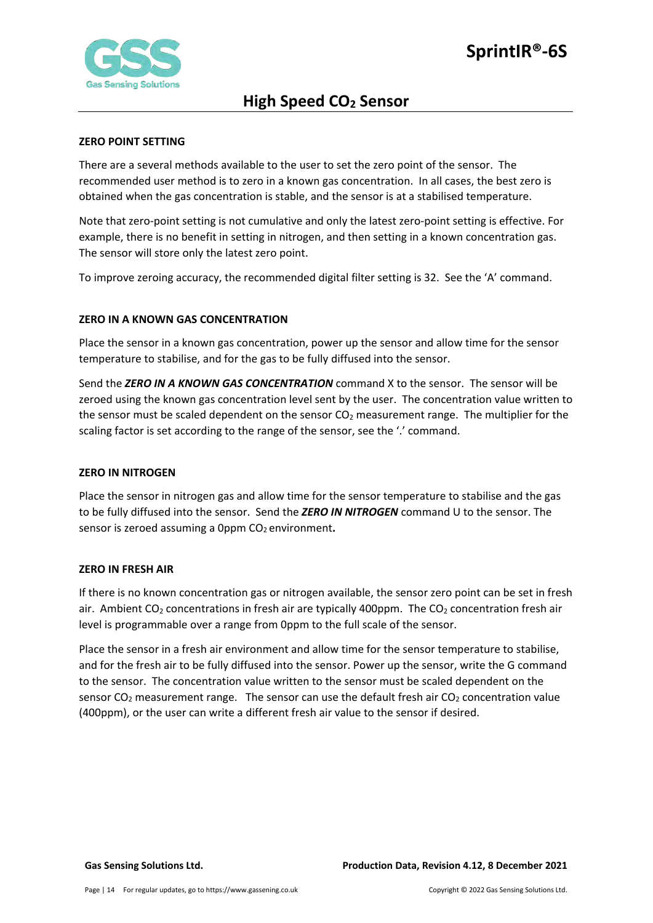

## <span id="page-13-0"></span>**ZERO POINT SETTING**

There are a several methods available to the user to set the zero point of the sensor. The recommended user method is to zero in a known gas concentration. In all cases, the best zero is obtained when the gas concentration is stable, and the sensor is at a stabilised temperature.

Note that zero-point setting is not cumulative and only the latest zero-point setting is effective. For example, there is no benefit in setting in nitrogen, and then setting in a known concentration gas. The sensor will store only the latest zero point.

To improve zeroing accuracy, the recommended digital filter setting is 32. See the 'A' command.

# <span id="page-13-1"></span>**ZERO IN A KNOWN GAS CONCENTRATION**

Place the sensor in a known gas concentration, power up the sensor and allow time for the sensor temperature to stabilise, and for the gas to be fully diffused into the sensor.

Send the *ZERO IN A KNOWN GAS CONCENTRATION* command X to the sensor. The sensor will be zeroed using the known gas concentration level sent by the user. The concentration value written to the sensor must be scaled dependent on the sensor  $CO<sub>2</sub>$  measurement range. The multiplier for the scaling factor is set according to the range of the sensor, see the '.' command.

## <span id="page-13-2"></span>**ZERO IN NITROGEN**

Place the sensor in nitrogen gas and allow time for the sensor temperature to stabilise and the gas to be fully diffused into the sensor. Send the *ZERO IN NITROGEN* command U to the sensor. The sensor is zeroed assuming a 0ppm CO<sub>2</sub> environment.

## <span id="page-13-3"></span>**ZERO IN FRESH AIR**

If there is no known concentration gas or nitrogen available, the sensor zero point can be set in fresh air. Ambient  $CO<sub>2</sub>$  concentrations in fresh air are typically 400ppm. The  $CO<sub>2</sub>$  concentration fresh air level is programmable over a range from 0ppm to the full scale of the sensor.

Place the sensor in a fresh air environment and allow time for the sensor temperature to stabilise, and for the fresh air to be fully diffused into the sensor. Power up the sensor, write the G command to the sensor. The concentration value written to the sensor must be scaled dependent on the sensor  $CO<sub>2</sub>$  measurement range. The sensor can use the default fresh air  $CO<sub>2</sub>$  concentration value (400ppm), or the user can write a different fresh air value to the sensor if desired.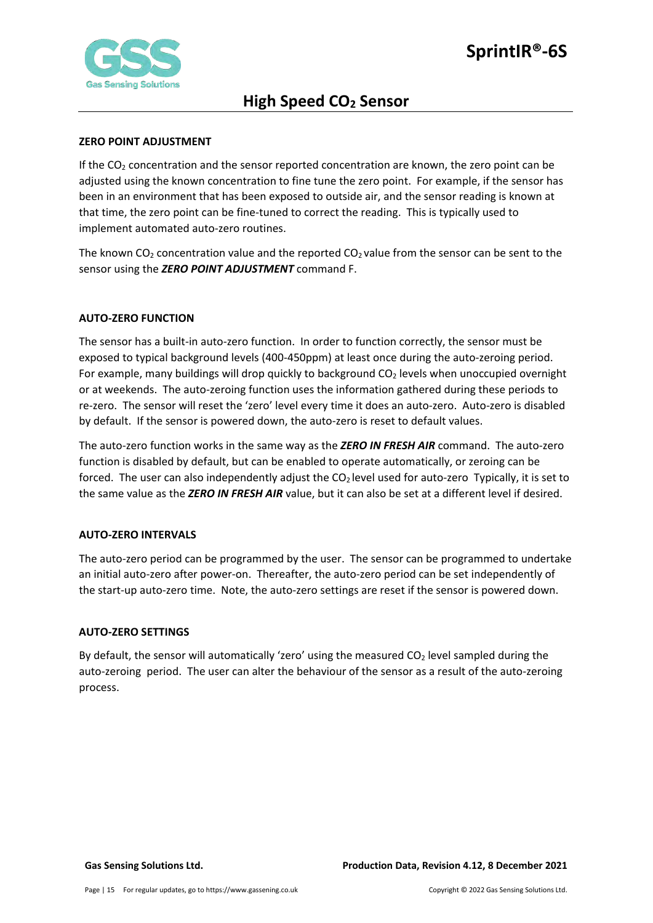

## <span id="page-14-0"></span>**ZERO POINT ADJUSTMENT**

If the  $CO<sub>2</sub>$  concentration and the sensor reported concentration are known, the zero point can be adjusted using the known concentration to fine tune the zero point. For example, if the sensor has been in an environment that has been exposed to outside air, and the sensor reading is known at that time, the zero point can be fine-tuned to correct the reading. This is typically used to implement automated auto-zero routines.

The known  $CO<sub>2</sub>$  concentration value and the reported  $CO<sub>2</sub>$  value from the sensor can be sent to the sensor using the *ZERO POINT ADJUSTMENT* command F.

# <span id="page-14-1"></span>**AUTO-ZERO FUNCTION**

The sensor has a built-in auto-zero function. In order to function correctly, the sensor must be exposed to typical background levels (400-450ppm) at least once during the auto-zeroing period. For example, many buildings will drop quickly to background  $CO<sub>2</sub>$  levels when unoccupied overnight or at weekends. The auto-zeroing function uses the information gathered during these periods to re-zero. The sensor will reset the 'zero' level every time it does an auto-zero. Auto-zero is disabled by default. If the sensor is powered down, the auto-zero is reset to default values.

The auto-zero function works in the same way as the *ZERO IN FRESH AIR* command. The auto-zero function is disabled by default, but can be enabled to operate automatically, or zeroing can be forced. The user can also independently adjust the  $CO<sub>2</sub>$  level used for auto-zero Typically, it is set to the same value as the *ZERO IN FRESH AIR* value, but it can also be set at a different level if desired.

## <span id="page-14-2"></span>**AUTO-ZERO INTERVALS**

The auto-zero period can be programmed by the user. The sensor can be programmed to undertake an initial auto-zero after power-on. Thereafter, the auto-zero period can be set independently of the start-up auto-zero time. Note, the auto-zero settings are reset if the sensor is powered down.

## <span id="page-14-3"></span>**AUTO-ZERO SETTINGS**

By default, the sensor will automatically 'zero' using the measured  $CO<sub>2</sub>$  level sampled during the auto-zeroing period. The user can alter the behaviour of the sensor as a result of the auto-zeroing process.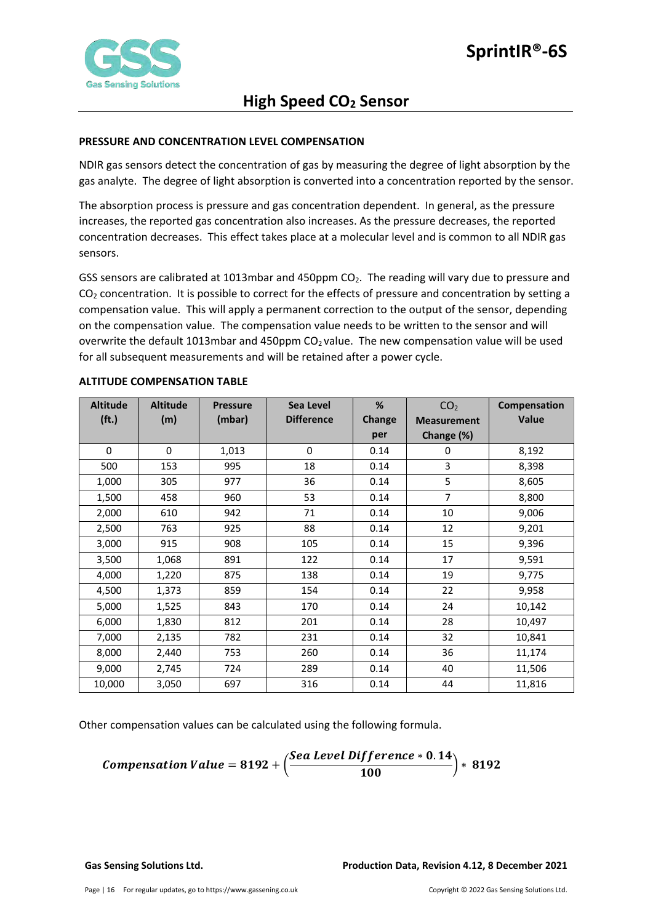

# <span id="page-15-0"></span>**PRESSURE AND CONCENTRATION LEVEL COMPENSATION**

NDIR gas sensors detect the concentration of gas by measuring the degree of light absorption by the gas analyte. The degree of light absorption is converted into a concentration reported by the sensor.

The absorption process is pressure and gas concentration dependent. In general, as the pressure increases, the reported gas concentration also increases. As the pressure decreases, the reported concentration decreases. This effect takes place at a molecular level and is common to all NDIR gas sensors.

GSS sensors are calibrated at 1013mbar and 450ppm CO<sub>2</sub>. The reading will vary due to pressure and  $CO<sub>2</sub>$  concentration. It is possible to correct for the effects of pressure and concentration by setting a compensation value. This will apply a permanent correction to the output of the sensor, depending on the compensation value. The compensation value needs to be written to the sensor and will overwrite the default 1013mbar and 450ppm  $CO<sub>2</sub>$  value. The new compensation value will be used for all subsequent measurements and will be retained after a power cycle.

| <b>Altitude</b>   | <b>Altitude</b> | <b>Pressure</b> | Sea Level         | %             | CO <sub>2</sub>    | Compensation |
|-------------------|-----------------|-----------------|-------------------|---------------|--------------------|--------------|
| (f <sub>t</sub> ) | (m)             | (mbar)          | <b>Difference</b> | <b>Change</b> | <b>Measurement</b> | Value        |
|                   |                 |                 |                   | per           | Change (%)         |              |
| $\Omega$          | $\Omega$        | 1,013           | $\mathbf 0$       | 0.14          | 0                  | 8,192        |
| 500               | 153             | 995             | 18                | 0.14          | 3                  | 8,398        |
| 1,000             | 305             | 977             | 36                | 0.14          | 5                  | 8,605        |
| 1,500             | 458             | 960             | 53                | 0.14          | $\overline{7}$     | 8,800        |
| 2,000             | 610             | 942             | 71                | 0.14          | 10                 | 9,006        |
| 2,500             | 763             | 925             | 88                | 0.14          | 12                 | 9,201        |
| 3,000             | 915             | 908             | 105               | 0.14          | 15                 | 9,396        |
| 3,500             | 1,068           | 891             | 122               | 0.14          | 17                 | 9,591        |
| 4,000             | 1,220           | 875             | 138               | 0.14          | 19                 | 9,775        |
| 4,500             | 1,373           | 859             | 154               | 0.14          | 22                 | 9,958        |
| 5,000             | 1,525           | 843             | 170               | 0.14          | 24                 | 10,142       |
| 6,000             | 1,830           | 812             | 201               | 0.14          | 28                 | 10,497       |
| 7,000             | 2,135           | 782             | 231               | 0.14          | 32                 | 10,841       |
| 8,000             | 2,440           | 753             | 260               | 0.14          | 36                 | 11,174       |
| 9,000             | 2,745           | 724             | 289               | 0.14          | 40                 | 11,506       |
| 10,000            | 3,050           | 697             | 316               | 0.14          | 44                 | 11,816       |

#### <span id="page-15-1"></span>**ALTITUDE COMPENSATION TABLE**

Other compensation values can be calculated using the following formula.

**Comparison Value = 8192 +** 
$$
\left( \frac{See \text{ Level Difference} * 0.14}{100} \right) * 8192
$$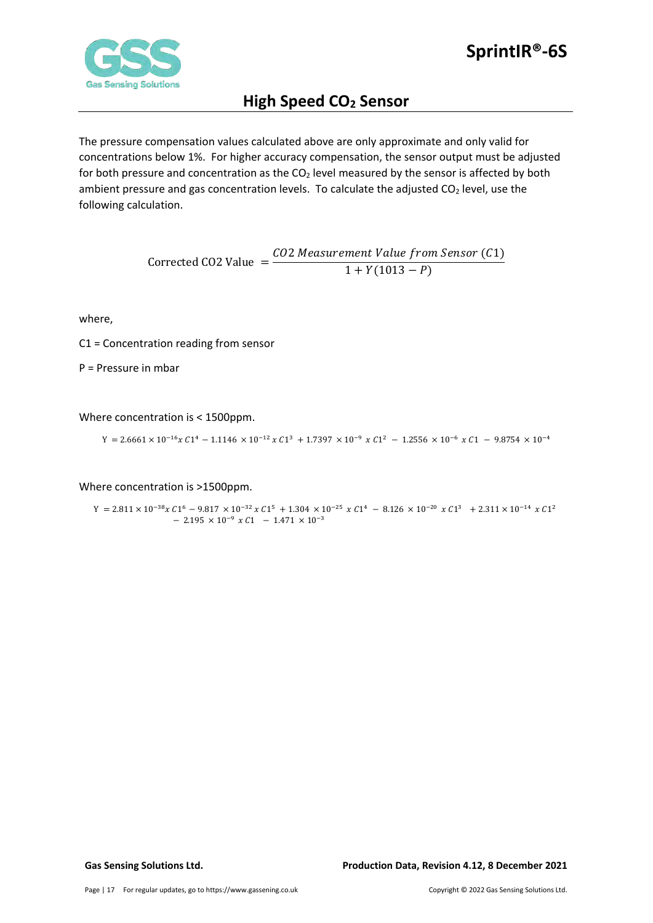

The pressure compensation values calculated above are only approximate and only valid for concentrations below 1%. For higher accuracy compensation, the sensor output must be adjusted for both pressure and concentration as the  $CO<sub>2</sub>$  level measured by the sensor is affected by both ambient pressure and gas concentration levels. To calculate the adjusted  $CO<sub>2</sub>$  level, use the following calculation.

> $Corrected CO2 Value =$ CO2 Measurement Value from Sensor (C1)  $1 + Y(1013 - P)$

where,

C1 = Concentration reading from sensor

P = Pressure in mbar

Where concentration is < 1500ppm.

 $Y = 2.6661 \times 10^{-16} x C1^4 - 1.1146 \times 10^{-12} x C1^3 + 1.7397 \times 10^{-9} x C1^2 - 1.2556 \times 10^{-6} x C1 - 9.8754 \times 10^{-4}$ 

Where concentration is >1500ppm.

 $\Upsilon = 2.811 \times 10^{-38} \chi \, C1^6 \, - \, 9.817 \, \times 10^{-32} \, \chi \, C1^5 \, + \, 1.304 \, \times 10^{-25} \, \chi \, C1^4 \, - \, 8.126 \, \times 10^{-20} \, \chi \, C1^3 \ \, + \, 2.311 \times 10^{-14} \, \chi \, C1^2$  $-$  2.195  $\times$  10<sup>-9</sup>  $\times$  C1  $-$  1.471  $\times$  10<sup>-3</sup>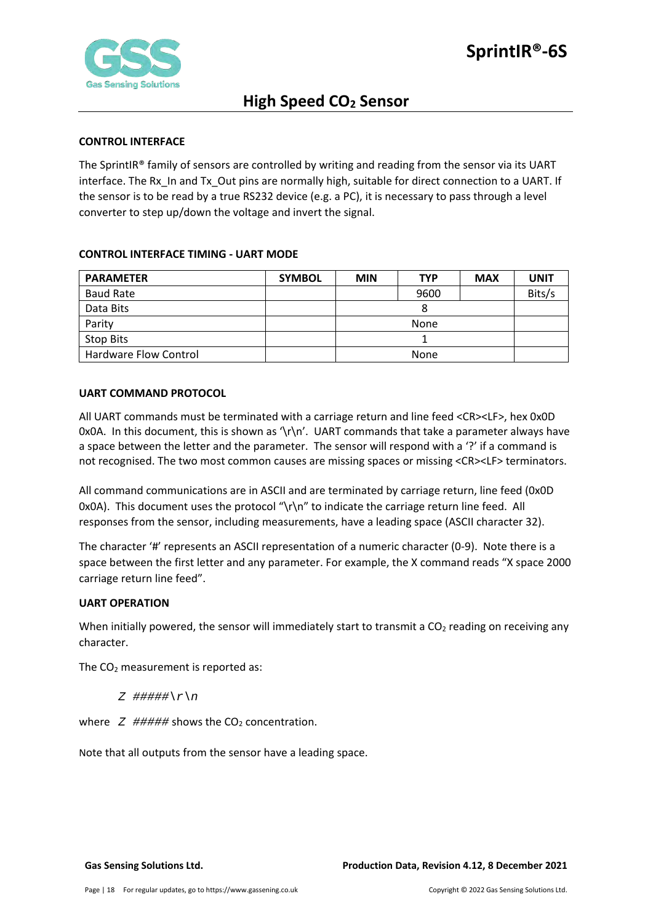

## <span id="page-17-0"></span>**CONTROL INTERFACE**

The SprintIR® family of sensors are controlled by writing and reading from the sensor via its UART interface. The Rx\_In and Tx\_Out pins are normally high, suitable for direct connection to a UART. If the sensor is to be read by a true RS232 device (e.g. a PC), it is necessary to pass through a level converter to step up/down the voltage and invert the signal.

# <span id="page-17-1"></span>**CONTROL INTERFACE TIMING - UART MODE**

| <b>PARAMETER</b>      | <b>SYMBOL</b> | <b>MIN</b> | <b>TYP</b> | <b>MAX</b> | <b>UNIT</b> |
|-----------------------|---------------|------------|------------|------------|-------------|
| <b>Baud Rate</b>      |               |            | 9600       |            | Bits/s      |
| Data Bits             |               |            | 8          |            |             |
| Parity                |               |            | None       |            |             |
| Stop Bits             |               |            |            |            |             |
| Hardware Flow Control |               |            | None       |            |             |

# <span id="page-17-2"></span>**UART COMMAND PROTOCOL**

All UART commands must be terminated with a carriage return and line feed <CR><LF>, hex 0x0D 0x0A. In this document, this is shown as '\r\n'. UART commands that take a parameter always have a space between the letter and the parameter. The sensor will respond with a '?' if a command is not recognised. The two most common causes are missing spaces or missing <CR><LF> terminators.

All command communications are in ASCII and are terminated by carriage return, line feed (0x0D 0x0A). This document uses the protocol "\r\n" to indicate the carriage return line feed. All responses from the sensor, including measurements, have a leading space (ASCII character 32).

The character '#' represents an ASCII representation of a numeric character (0-9). Note there is a space between the first letter and any parameter. For example, the X command reads "X space 2000 carriage return line feed".

## <span id="page-17-3"></span>**UART OPERATION**

When initially powered, the sensor will immediately start to transmit a  $CO<sub>2</sub>$  reading on receiving any character.

The  $CO<sub>2</sub>$  measurement is reported as:

*Z #####\r\n*

where  $Z$  ##### shows the  $CO<sub>2</sub>$  concentration.

Note that all outputs from the sensor have a leading space.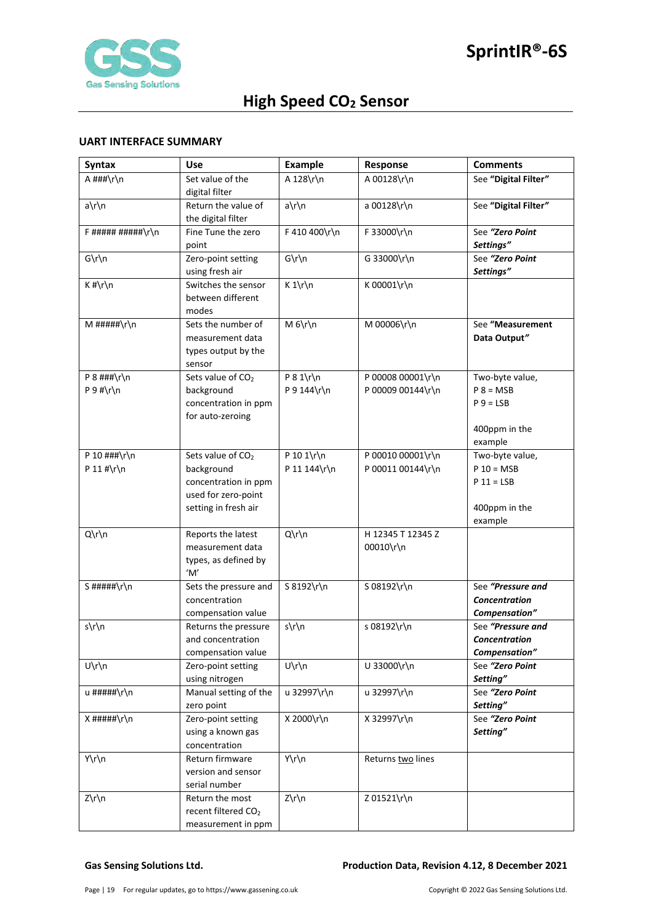

## <span id="page-18-0"></span>**UART INTERFACE SUMMARY**

| <b>Syntax</b>      | Use                                    | <b>Example</b> | Response          | <b>Comments</b>                |
|--------------------|----------------------------------------|----------------|-------------------|--------------------------------|
| A ###\r\n          | Set value of the                       | A 128\r\n      | A 00128\r\n       | See "Digital Filter"           |
|                    | digital filter                         |                |                   |                                |
| a\r\n              | Return the value of                    | $a\$ n         | a 00128\r\n       | See "Digital Filter"           |
|                    | the digital filter                     |                |                   |                                |
| $F$ ##########\r\n | Fine Tune the zero                     | F 410 400\r\n  | F 33000\r\n       | See "Zero Point                |
|                    | point                                  |                |                   | Settings"                      |
| $G\r\ln$           | Zero-point setting                     | $G\r\ln$       | G 33000\r\n       | See "Zero Point<br>Settings"   |
| $K$ #\r\n          | using fresh air<br>Switches the sensor | $K 1\r \n$     | K 00001\r\n       |                                |
|                    | between different                      |                |                   |                                |
|                    | modes                                  |                |                   |                                |
| $M$ #####\r\n      | Sets the number of                     | $M_6\h$  n     | M 00006\r\n       | See "Measurement               |
|                    | measurement data                       |                |                   | Data Output"                   |
|                    | types output by the                    |                |                   |                                |
|                    | sensor                                 |                |                   |                                |
| P $8$ ###\r\n      | Sets value of CO <sub>2</sub>          | $P 8 1\$ r\n   | P 00008 00001\r\n | Two-byte value,                |
| $P 9$ #\r\n        | background                             | P 9 144\r\n    | P 00009 00144\r\n | $P 8 = MSB$                    |
|                    | concentration in ppm                   |                |                   | $P_9 = LSB$                    |
|                    | for auto-zeroing                       |                |                   |                                |
|                    |                                        |                |                   | 400ppm in the                  |
| P 10 ###\r\n       | Sets value of CO <sub>2</sub>          | P 10 1\r\n     | P 00010 00001\r\n | example<br>Two-byte value,     |
| P 11 #\r\n         | background                             | P 11 144\r\n   | P 00011 00144\r\n | $P 10 = MSB$                   |
|                    | concentration in ppm                   |                |                   | $P 11 = LSB$                   |
|                    | used for zero-point                    |                |                   |                                |
|                    | setting in fresh air                   |                |                   | 400ppm in the                  |
|                    |                                        |                |                   | example                        |
| Q\r\n              | Reports the latest                     | Q\r\n          | H 12345 T 12345 Z |                                |
|                    | measurement data                       |                | 00010\r\n         |                                |
|                    | types, as defined by                   |                |                   |                                |
|                    | 'M'                                    |                |                   |                                |
| S #####\r\n        | Sets the pressure and                  | S 8192\r\n     | S 08192\r\n       | See "Pressure and              |
|                    | concentration<br>compensation value    |                |                   | Concentration<br>Compensation" |
| s\r\n              | Returns the pressure                   | s\r\n          | s 08192\r\n       | See "Pressure and              |
|                    | and concentration                      |                |                   | Concentration                  |
|                    | compensation value                     |                |                   | Compensation"                  |
| $U\r\ln$           | Zero-point setting                     | $U\r\ln$       | U 33000\r\n       | See "Zero Point                |
|                    | using nitrogen                         |                |                   | Setting"                       |
| u #####\r\n        | Manual setting of the                  | u 32997\r\n    | u 32997\r\n       | See "Zero Point                |
|                    | zero point                             |                |                   | Setting"                       |
| $X$ #####\r\n      | Zero-point setting                     | X 2000\r\n     | X 32997\r\n       | See "Zero Point                |
|                    | using a known gas                      |                |                   | Setting"                       |
|                    | concentration                          |                |                   |                                |
| Y\r\n              | Return firmware<br>version and sensor  | Y\r\n          | Returns two lines |                                |
|                    | serial number                          |                |                   |                                |
| Z\r\n              | Return the most                        | $Z\rr\n$       | Z 01521\r\n       |                                |
|                    | recent filtered CO <sub>2</sub>        |                |                   |                                |
|                    | measurement in ppm                     |                |                   |                                |

### **Gas Sensing Solutions Ltd. Production Data, Revision 4.12, 8 December 2021**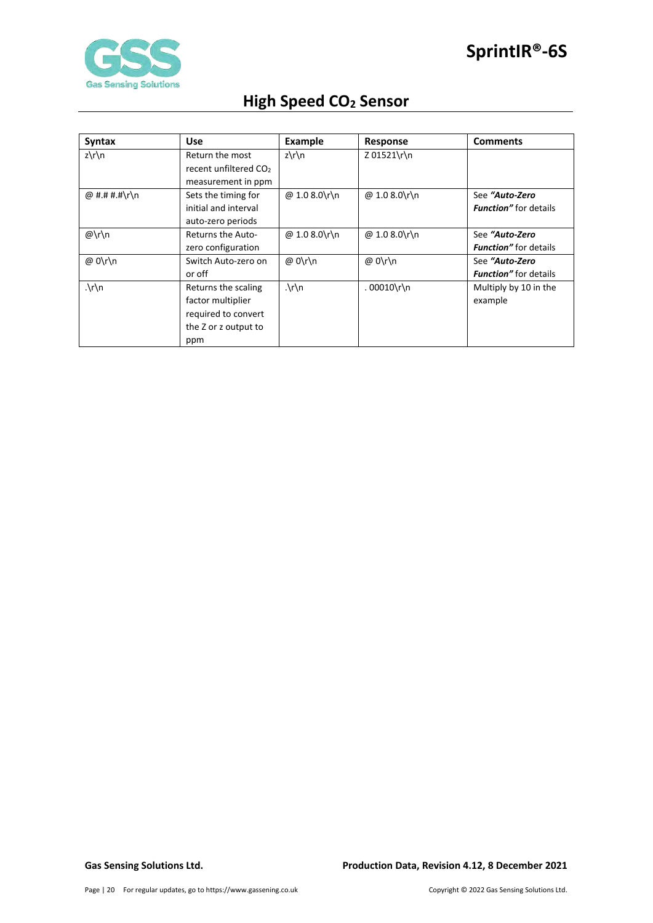

| <b>Syntax</b>           | <b>Use</b>                        | <b>Example</b>       | Response      | <b>Comments</b>               |
|-------------------------|-----------------------------------|----------------------|---------------|-------------------------------|
| $z\prime\prime\prime$ n | Return the most                   | $z\$ n               | Z 01521\r\n   |                               |
|                         | recent unfiltered CO <sub>2</sub> |                      |               |                               |
|                         | measurement in ppm                |                      |               |                               |
| @ #.# #.#\r\n           | Sets the timing for               | @ 1.0 8.0\r\n        | @ 1.0 8.0\r\n | See "Auto-Zero                |
|                         | initial and interval              |                      |               | <b>Function</b> " for details |
|                         | auto-zero periods                 |                      |               |                               |
| @\r\n                   | <b>Returns the Auto-</b>          | @ 1.0 8.0\r\n        | @ 1.0 8.0\r\n | See "Auto-Zero                |
|                         | zero configuration                |                      |               | <b>Function</b> " for details |
| @ 0\r\n                 | Switch Auto-zero on               | @ 0\r\n              | @ 0\r\n       | See "Auto-Zero                |
|                         | or off                            |                      |               | <b>Function</b> " for details |
| $\lambda r \n\$         | Returns the scaling               | $\cdot \int r \, dr$ | $.00010\$ n\  | Multiply by 10 in the         |
|                         | factor multiplier                 |                      |               | example                       |
|                         | required to convert               |                      |               |                               |
|                         | the Z or z output to              |                      |               |                               |
|                         | ppm                               |                      |               |                               |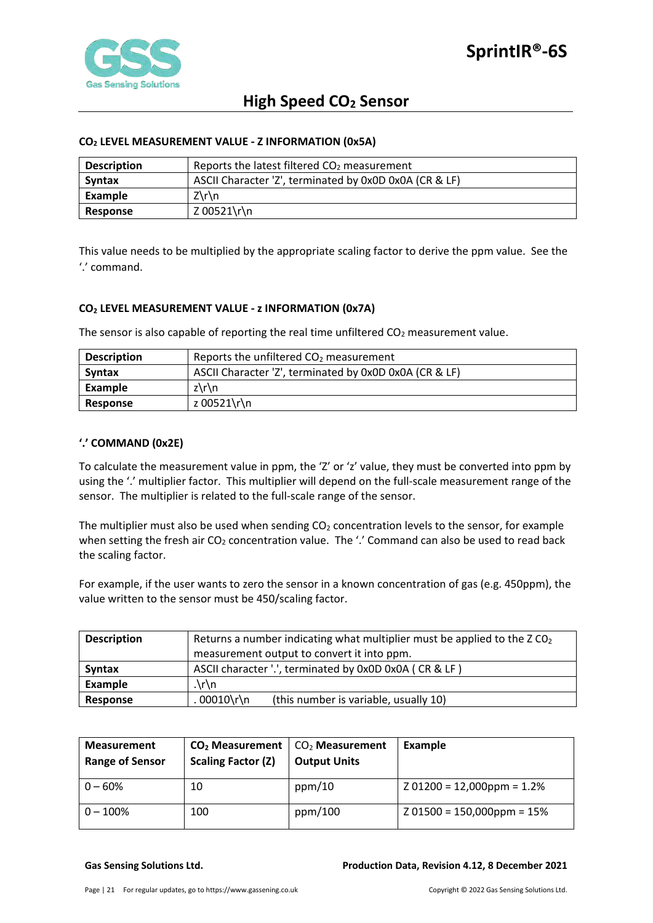

## <span id="page-20-0"></span>**CO2 LEVEL MEASUREMENT VALUE - Z INFORMATION (0x5A)**

| <b>Description</b> | Reports the latest filtered $CO2$ measurement          |  |  |
|--------------------|--------------------------------------------------------|--|--|
| <b>Syntax</b>      | ASCII Character 'Z', terminated by 0x0D 0x0A (CR & LF) |  |  |
| Example            | $Z\Gamma$                                              |  |  |
| <b>Response</b>    | Z 00521\r\n                                            |  |  |

This value needs to be multiplied by the appropriate scaling factor to derive the ppm value. See the '.' command.

# <span id="page-20-1"></span>**CO2 LEVEL MEASUREMENT VALUE - z INFORMATION (0x7A)**

The sensor is also capable of reporting the real time unfiltered  $CO<sub>2</sub>$  measurement value.

| <b>Description</b> | Reports the unfiltered $CO2$ measurement               |  |  |
|--------------------|--------------------------------------------------------|--|--|
| Syntax             | ASCII Character 'Z', terminated by 0x0D 0x0A (CR & LF) |  |  |
| Example            | $z\$ \ln                                               |  |  |
| Response           | z 00521\r\n                                            |  |  |

## <span id="page-20-2"></span>**'.' COMMAND (0x2E)**

To calculate the measurement value in ppm, the 'Z' or 'z' value, they must be converted into ppm by using the '.' multiplier factor. This multiplier will depend on the full-scale measurement range of the sensor. The multiplier is related to the full-scale range of the sensor.

The multiplier must also be used when sending  $CO<sub>2</sub>$  concentration levels to the sensor, for example when setting the fresh air  $CO_2$  concentration value. The '.' Command can also be used to read back the scaling factor.

For example, if the user wants to zero the sensor in a known concentration of gas (e.g. 450ppm), the value written to the sensor must be 450/scaling factor.

| <b>Description</b> | Returns a number indicating what multiplier must be applied to the $ZCO2$ |  |  |  |  |
|--------------------|---------------------------------------------------------------------------|--|--|--|--|
|                    | measurement output to convert it into ppm.                                |  |  |  |  |
| <b>Syntax</b>      | ASCII character '.', terminated by 0x0D 0x0A (CR & LF)                    |  |  |  |  |
| Example            | $\cdot \ln$                                                               |  |  |  |  |
| Response           | 00010\r\n<br>(this number is variable, usually 10)                        |  |  |  |  |

| <b>Measurement</b><br><b>Range of Sensor</b> | $CO2$ Measurement<br><b>Scaling Factor (Z)</b> | $CO2$ Measurement<br><b>Output Units</b> | <b>Example</b>               |
|----------------------------------------------|------------------------------------------------|------------------------------------------|------------------------------|
| $0 - 60%$                                    | 10                                             | ppm/10                                   | $201200 = 12,000$ ppm = 1.2% |
| $0 - 100\%$                                  | 100                                            | ppm/100                                  | $Z$ 01500 = 150,000ppm = 15% |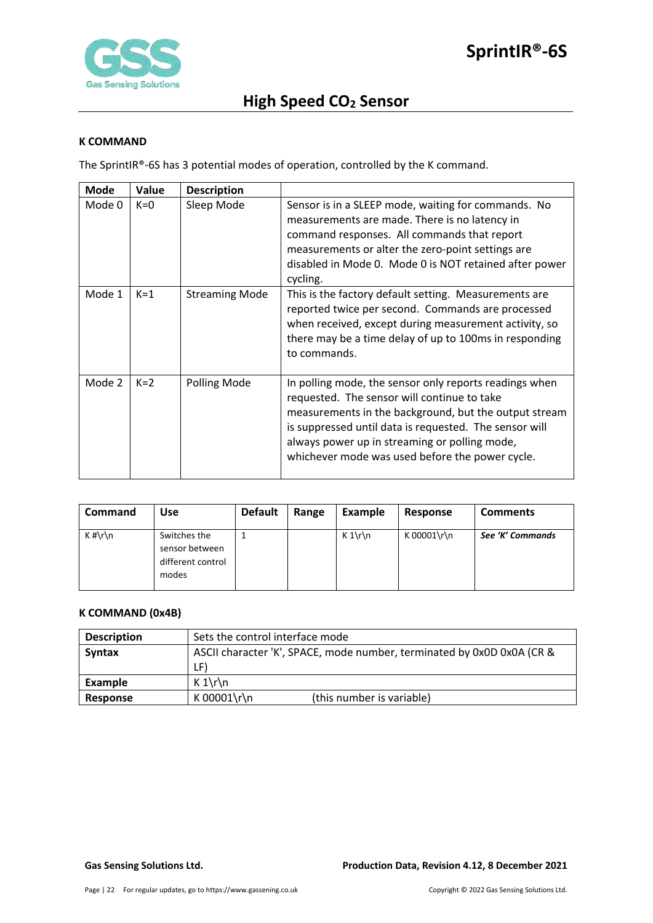

### <span id="page-21-0"></span>**K COMMAND**

The SprintIR®-6S has 3 potential modes of operation, controlled by the K command.

| <b>Mode</b> | Value | <b>Description</b>    |                                                                                                                                                                                                                                                                                                                              |
|-------------|-------|-----------------------|------------------------------------------------------------------------------------------------------------------------------------------------------------------------------------------------------------------------------------------------------------------------------------------------------------------------------|
| Mode 0      | $K=0$ | Sleep Mode            | Sensor is in a SLEEP mode, waiting for commands. No<br>measurements are made. There is no latency in<br>command responses. All commands that report<br>measurements or alter the zero-point settings are<br>disabled in Mode 0. Mode 0 is NOT retained after power<br>cycling.                                               |
| Mode 1      | $K=1$ | <b>Streaming Mode</b> | This is the factory default setting. Measurements are<br>reported twice per second. Commands are processed<br>when received, except during measurement activity, so<br>there may be a time delay of up to 100ms in responding<br>to commands.                                                                                |
| Mode 2      | $K=2$ | Polling Mode          | In polling mode, the sensor only reports readings when<br>requested. The sensor will continue to take<br>measurements in the background, but the output stream<br>is suppressed until data is requested. The sensor will<br>always power up in streaming or polling mode,<br>whichever mode was used before the power cycle. |

| <b>Command</b> | Use                                                          | <b>Default</b> | Range | Example | Response    | <b>Comments</b>  |
|----------------|--------------------------------------------------------------|----------------|-------|---------|-------------|------------------|
| $K \# \r \n$   | Switches the<br>sensor between<br>different control<br>modes |                |       | $K 1\$  | K 00001\r\n | See 'K' Commands |

# <span id="page-21-1"></span>**K COMMAND (0x4B)**

| <b>Description</b> | Sets the control interface mode                                        |  |  |
|--------------------|------------------------------------------------------------------------|--|--|
| Syntax             | ASCII character 'K', SPACE, mode number, terminated by 0x0D 0x0A (CR & |  |  |
|                    | LF)                                                                    |  |  |
| Example            | $K 1\$                                                                 |  |  |
| Response           | K 00001\r\n<br>(this number is variable)                               |  |  |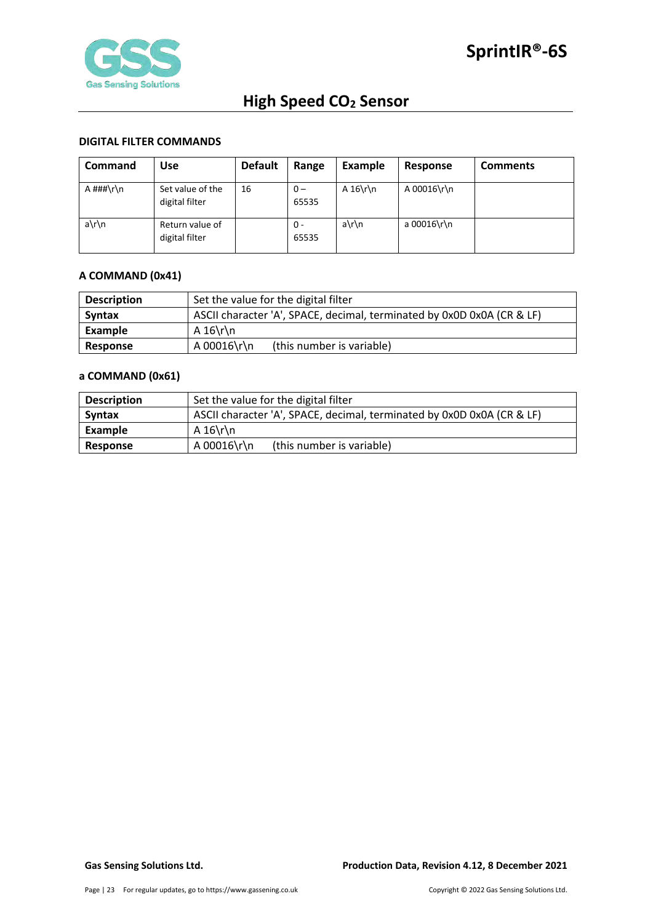

## <span id="page-22-0"></span>**DIGITAL FILTER COMMANDS**

| <b>Command</b> | Use                                | <b>Default</b> | Range          | <b>Example</b> | Response    | <b>Comments</b> |
|----------------|------------------------------------|----------------|----------------|----------------|-------------|-----------------|
| A ###\r\n      | Set value of the<br>digital filter | 16             | $0 -$<br>65535 | A $16\$ n      | A 00016\r\n |                 |
| a\r\n          | Return value of<br>digital filter  |                | 0 -<br>65535   | a\r\n          | a 00016\r\n |                 |

# <span id="page-22-1"></span>**A COMMAND (0x41)**

| <b>Description</b> | Set the value for the digital filter                                   |  |  |
|--------------------|------------------------------------------------------------------------|--|--|
| <b>Syntax</b>      | ASCII character 'A', SPACE, decimal, terminated by 0x0D 0x0A (CR & LF) |  |  |
| Example            | A $16\$ r\n                                                            |  |  |
| Response           | A 00016\r\n<br>(this number is variable)                               |  |  |

# <span id="page-22-2"></span>**a COMMAND (0x61)**

| <b>Description</b> | Set the value for the digital filter                                   |  |  |
|--------------------|------------------------------------------------------------------------|--|--|
| <b>Syntax</b>      | ASCII character 'A', SPACE, decimal, terminated by 0x0D 0x0A (CR & LF) |  |  |
| Example            | A $16\$ r\n                                                            |  |  |
| Response           | A 00016\r\n<br>(this number is variable)                               |  |  |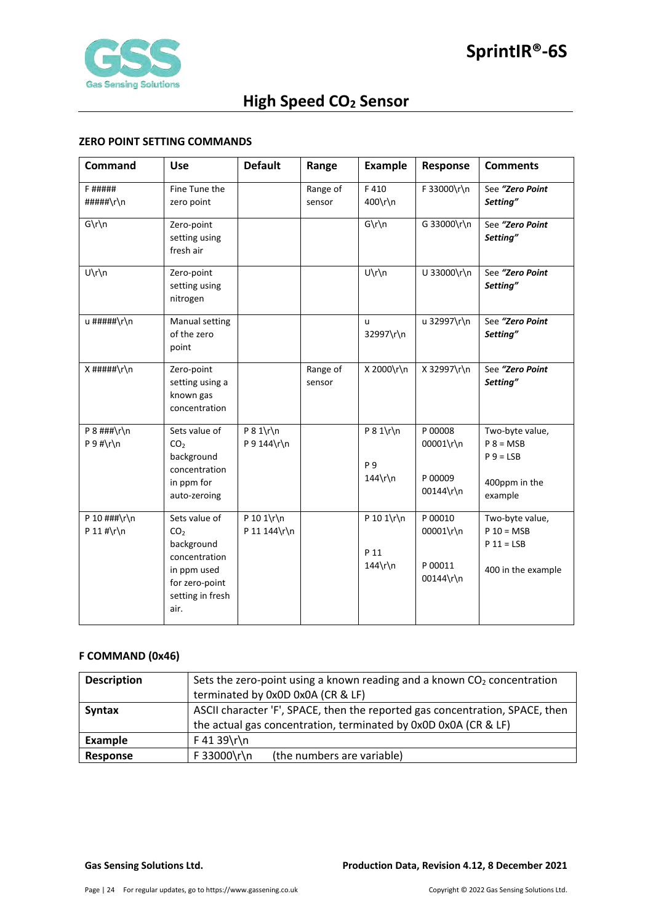

# <span id="page-23-0"></span>**ZERO POINT SETTING COMMANDS**

| Command                                | <b>Use</b>                                                                                                                   | <b>Default</b>             | Range              | <b>Example</b>                               | Response                                     | <b>Comments</b>                                                           |
|----------------------------------------|------------------------------------------------------------------------------------------------------------------------------|----------------------------|--------------------|----------------------------------------------|----------------------------------------------|---------------------------------------------------------------------------|
| <b>F#####</b><br>#####\r\n             | Fine Tune the<br>zero point                                                                                                  |                            | Range of<br>sensor | F410<br>400\r\n                              | F 33000\r\n                                  | See "Zero Point<br>Setting"                                               |
| $G\r\ln$                               | Zero-point<br>setting using<br>fresh air                                                                                     |                            |                    | $G\r\ln$                                     | G 33000\r\n                                  | See "Zero Point<br>Setting"                                               |
| U\r\n                                  | Zero-point<br>setting using<br>nitrogen                                                                                      |                            |                    | $U\r\ln$                                     | U 33000\r\n                                  | See "Zero Point<br>Setting"                                               |
| u #####\r\n                            | Manual setting<br>of the zero<br>point                                                                                       |                            |                    | u<br>32997\r\n                               | u 32997\r\n                                  | See "Zero Point<br>Setting"                                               |
| $X$ #####\r\n                          | Zero-point<br>setting using a<br>known gas<br>concentration                                                                  |                            | Range of<br>sensor | X 2000\r\n                                   | X 32997\r\n                                  | See "Zero Point<br>Setting"                                               |
| $P 8$ ###\r\n<br>$P 9 # \r \n$         | Sets value of<br>CO <sub>2</sub><br>background<br>concentration<br>in ppm for<br>auto-zeroing                                | $P 8 1\$<br>P 9 144\r\n    |                    | $P 8 1\$ r\n<br><b>P</b> 9<br>$144\hbox{rh}$ | P 00008<br>00001\r\n<br>P 00009<br>00144\r\n | Two-byte value,<br>$P 8 = MSB$<br>$P 9 = LSB$<br>400ppm in the<br>example |
| P 10 $\#$ # $\hbar$ \r\n<br>P 11 #\r\n | Sets value of<br>CO <sub>2</sub><br>background<br>concentration<br>in ppm used<br>for zero-point<br>setting in fresh<br>air. | P 10 1\r\n<br>P 11 144\r\n |                    | P 10 1\r\n<br>P 11<br>$144\$ r\n             | P 00010<br>00001\r\n<br>P 00011<br>00144\r\n | Two-byte value,<br>$P 10 = MSB$<br>$P 11 = LSB$<br>400 in the example     |

# <span id="page-23-1"></span>**F COMMAND (0x46)**

| <b>Description</b> | Sets the zero-point using a known reading and a known $CO2$ concentration    |  |  |
|--------------------|------------------------------------------------------------------------------|--|--|
|                    | terminated by 0x0D 0x0A (CR & LF)                                            |  |  |
| <b>Syntax</b>      | ASCII character 'F', SPACE, then the reported gas concentration, SPACE, then |  |  |
|                    | the actual gas concentration, terminated by 0x0D 0x0A (CR & LF)              |  |  |
| Example            | F 41 39\r\n                                                                  |  |  |
| Response           | F 33000\r\n<br>(the numbers are variable)                                    |  |  |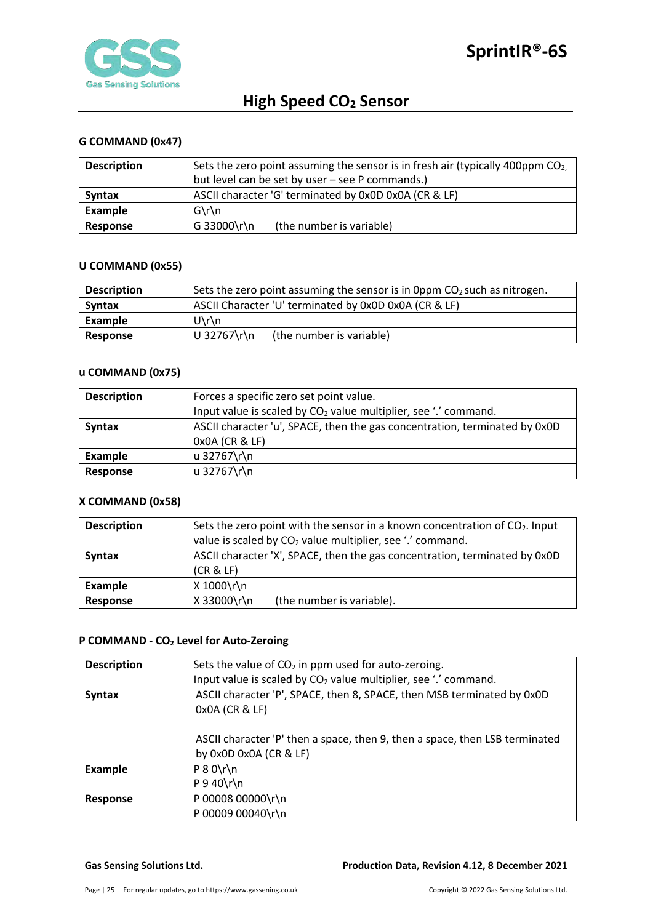

# <span id="page-24-0"></span>**G COMMAND (0x47)**

| <b>Description</b> | Sets the zero point assuming the sensor is in fresh air (typically 400ppm $CO2$ ). |  |  |
|--------------------|------------------------------------------------------------------------------------|--|--|
|                    | but level can be set by user - see P commands.)                                    |  |  |
| <b>Syntax</b>      | ASCII character 'G' terminated by 0x0D 0x0A (CR & LF)                              |  |  |
| Example            | $G\$ n                                                                             |  |  |
| Response           | G 33000\r\n<br>(the number is variable)                                            |  |  |

### <span id="page-24-1"></span>**U COMMAND (0x55)**

| <b>Description</b> | Sets the zero point assuming the sensor is in 0ppm $CO2$ such as nitrogen. |  |  |
|--------------------|----------------------------------------------------------------------------|--|--|
| <b>Syntax</b>      | ASCII Character 'U' terminated by 0x0D 0x0A (CR & LF)                      |  |  |
| Example            | $U\$ n                                                                     |  |  |
| Response           | U 32767\r\n<br>(the number is variable)                                    |  |  |

## <span id="page-24-2"></span>**u COMMAND (0x75)**

| <b>Description</b> | Forces a specific zero set point value.                                     |  |
|--------------------|-----------------------------------------------------------------------------|--|
|                    | Input value is scaled by CO <sub>2</sub> value multiplier, see '.' command. |  |
| <b>Syntax</b>      | ASCII character 'u', SPACE, then the gas concentration, terminated by 0x0D  |  |
|                    | 0x0A (CR & LF)                                                              |  |
| Example            | u 32767\r\n                                                                 |  |
| Response           | u 32767\r\n                                                                 |  |

## <span id="page-24-3"></span>**X COMMAND (0x58)**

| <b>Description</b> | Sets the zero point with the sensor in a known concentration of CO <sub>2</sub> . Input<br>value is scaled by CO <sub>2</sub> value multiplier, see '.' command. |
|--------------------|------------------------------------------------------------------------------------------------------------------------------------------------------------------|
| <b>Syntax</b>      | ASCII character 'X', SPACE, then the gas concentration, terminated by 0x0D<br>(CR & LF)                                                                          |
| Example            | X 1000\r\n                                                                                                                                                       |
| Response           | X 33000\r\n<br>(the number is variable).                                                                                                                         |

## <span id="page-24-4"></span>**P COMMAND - CO2 Level for Auto-Zeroing**

| <b>Description</b> | Sets the value of $CO2$ in ppm used for auto-zeroing.                                                      |
|--------------------|------------------------------------------------------------------------------------------------------------|
|                    | Input value is scaled by CO <sub>2</sub> value multiplier, see '.' command.                                |
| <b>Syntax</b>      | ASCII character 'P', SPACE, then 8, SPACE, then MSB terminated by 0x0D<br>0x0A (CR & LF)                   |
|                    | ASCII character 'P' then a space, then 9, then a space, then LSB terminated<br>by $0x0D$ $0x0A$ $(CR & E)$ |
| <b>Example</b>     | $P 8 0 \rln$<br>$P$ 9 40\r\n                                                                               |
| <b>Response</b>    | P 00008 00000\r\n<br>P 00009 00040\r\n                                                                     |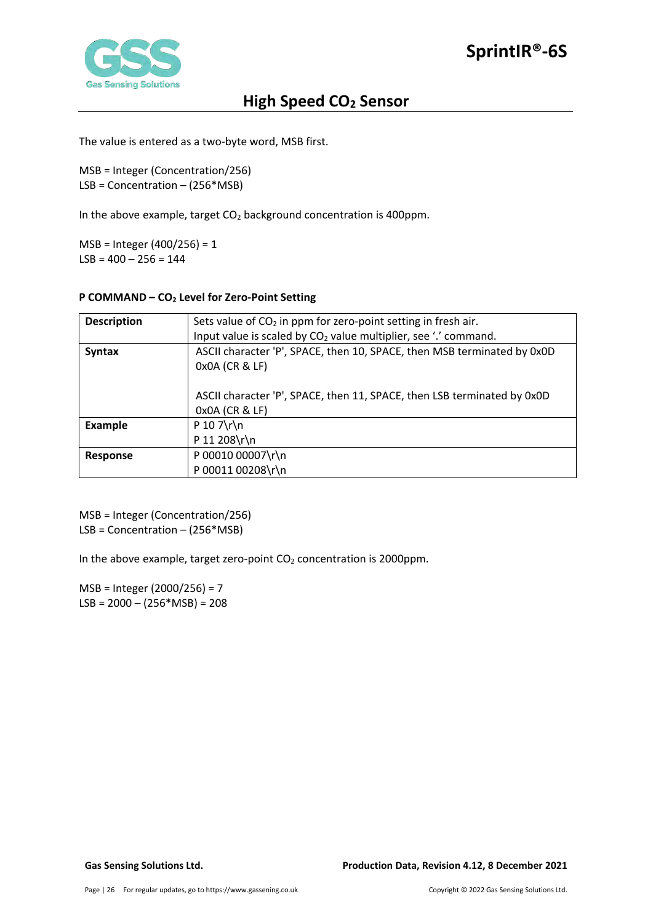

The value is entered as a two-byte word, MSB first.

MSB = Integer (Concentration/256) LSB = Concentration – (256\*MSB)

In the above example, target  $CO<sub>2</sub>$  background concentration is 400ppm.

MSB = Integer (400/256) = 1  $LSB = 400 - 256 = 144$ 

# <span id="page-25-0"></span>**P COMMAND – CO2 Level for Zero-Point Setting**

| <b>Description</b> | Sets value of $CO2$ in ppm for zero-point setting in fresh air.                           |
|--------------------|-------------------------------------------------------------------------------------------|
|                    | Input value is scaled by $CO2$ value multiplier, see '.' command.                         |
| <b>Syntax</b>      | ASCII character 'P', SPACE, then 10, SPACE, then MSB terminated by 0x0D<br>0x0A (CR & LF) |
|                    | ASCII character 'P', SPACE, then 11, SPACE, then LSB terminated by 0x0D<br>0x0A (CR & LF) |
| <b>Example</b>     | $P 10 7\$ r\                                                                              |
|                    | P 11 208\r\n                                                                              |
| Response           | P 00010 00007\r\n                                                                         |
|                    | P 00011 00208\r\n                                                                         |

MSB = Integer (Concentration/256) LSB = Concentration – (256\*MSB)

In the above example, target zero-point  $CO<sub>2</sub>$  concentration is 2000ppm.

MSB = Integer (2000/256) = 7  $LSB = 2000 - (256 * MSB) = 208$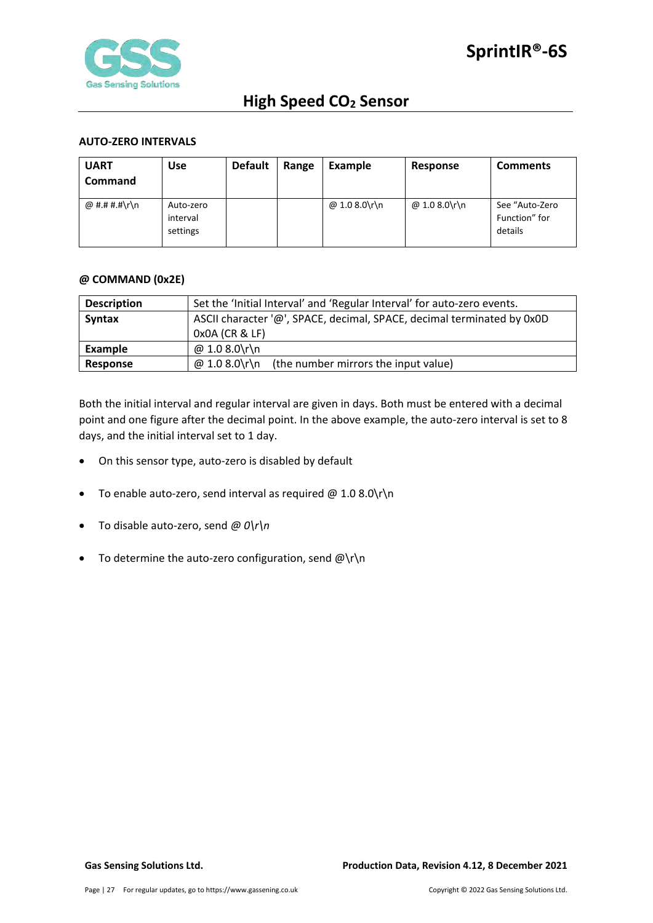

## <span id="page-26-0"></span>**AUTO-ZERO INTERVALS**

| <b>UART</b><br><b>Command</b> | <b>Use</b>                        | <b>Default</b> | Range | Example       | Response      | <b>Comments</b>                            |
|-------------------------------|-----------------------------------|----------------|-------|---------------|---------------|--------------------------------------------|
| @ #.# #.#\r\n                 | Auto-zero<br>interval<br>settings |                |       | @ 1.0 8.0\r\n | @ 1.0 8.0\r\n | See "Auto-Zero<br>Function" for<br>details |

#### <span id="page-26-1"></span>**@ COMMAND (0x2E)**

| <b>Description</b> | Set the 'Initial Interval' and 'Regular Interval' for auto-zero events. |  |  |
|--------------------|-------------------------------------------------------------------------|--|--|
| Syntax             | ASCII character '@', SPACE, decimal, SPACE, decimal terminated by 0x0D  |  |  |
|                    | 0x0A (CR & LF)                                                          |  |  |
| Example            | @ 1.0 8.0\r\n                                                           |  |  |
| <b>Response</b>    | @ 1.0 8.0\r\n<br>(the number mirrors the input value)                   |  |  |

Both the initial interval and regular interval are given in days. Both must be entered with a decimal point and one figure after the decimal point. In the above example, the auto-zero interval is set to 8 days, and the initial interval set to 1 day.

- On this sensor type, auto-zero is disabled by default
- To enable auto-zero, send interval as required  $@1.08.0\$ r $\n\$ n
- To disable auto-zero, send *@ 0\r\n*
- To determine the auto-zero configuration, send  $@{\rceil}$ n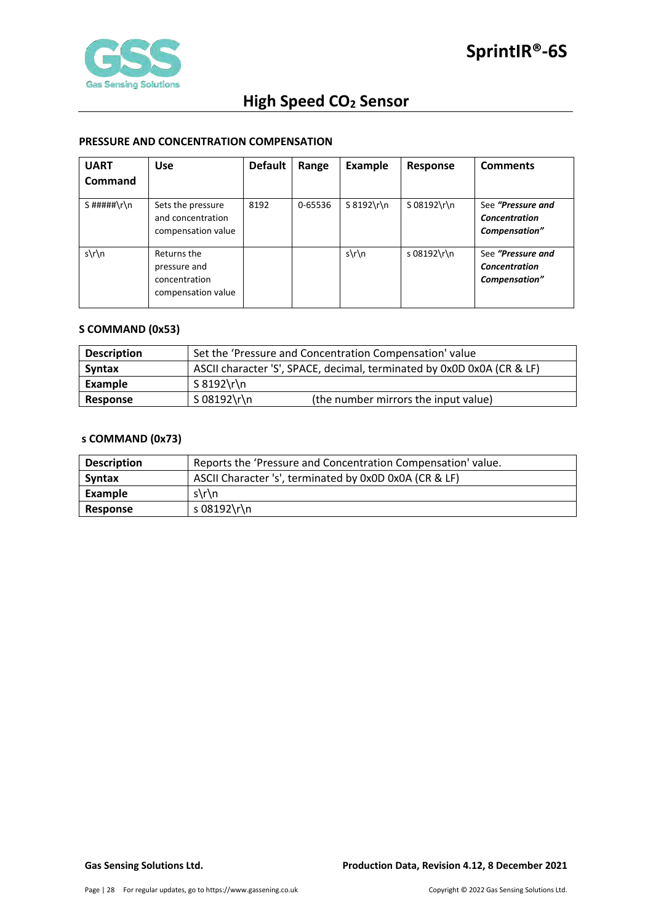

## <span id="page-27-0"></span>**PRESSURE AND CONCENTRATION COMPENSATION**

| <b>UART</b>   | <b>Use</b>                                                         | <b>Default</b> | Range   | Example       | Response    | <b>Comments</b>                                            |
|---------------|--------------------------------------------------------------------|----------------|---------|---------------|-------------|------------------------------------------------------------|
| Command       |                                                                    |                |         |               |             |                                                            |
| $S$ #####\r\n | Sets the pressure<br>and concentration<br>compensation value       | 8192           | 0-65536 | $S 8192\$ r\n | S 08192\r\n | See "Pressure and<br><b>Concentration</b><br>Compensation" |
| $s\$ n        | Returns the<br>pressure and<br>concentration<br>compensation value |                |         | $s\$ n        | s 08192\r\n | See "Pressure and<br><b>Concentration</b><br>Compensation" |

## <span id="page-27-1"></span>**S COMMAND (0x53)**

| <b>Description</b> | Set the 'Pressure and Concentration Compensation' value                |  |  |
|--------------------|------------------------------------------------------------------------|--|--|
| <b>Syntax</b>      | ASCII character 'S', SPACE, decimal, terminated by 0x0D 0x0A (CR & LF) |  |  |
| Example            | S 8192\r\n                                                             |  |  |
| Response           | S 08192\r\n<br>(the number mirrors the input value)                    |  |  |

# <span id="page-27-2"></span>**s COMMAND (0x73)**

| <b>Description</b> | Reports the 'Pressure and Concentration Compensation' value. |  |  |
|--------------------|--------------------------------------------------------------|--|--|
| <b>Syntax</b>      | ASCII Character 's', terminated by 0x0D 0x0A (CR & LF)       |  |  |
| Example            | $s\$ n                                                       |  |  |
| <b>Response</b>    | s 08192\r\n                                                  |  |  |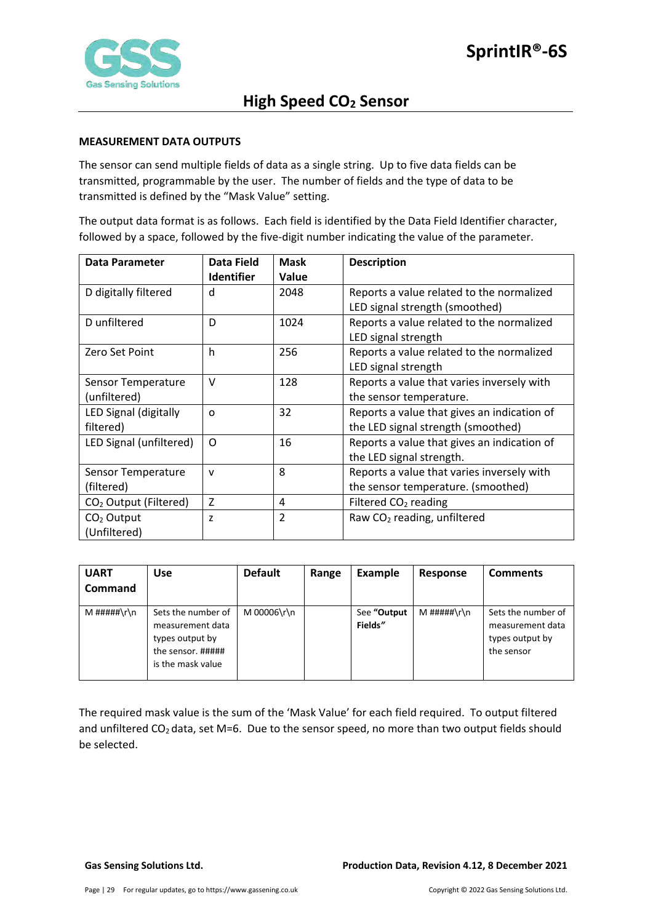

### <span id="page-28-0"></span>**MEASUREMENT DATA OUTPUTS**

The sensor can send multiple fields of data as a single string. Up to five data fields can be transmitted, programmable by the user. The number of fields and the type of data to be transmitted is defined by the "Mask Value" setting.

The output data format is as follows. Each field is identified by the Data Field Identifier character, followed by a space, followed by the five-digit number indicating the value of the parameter.

| Data Parameter                    | Data Field<br><b>Identifier</b> | <b>Mask</b><br>Value | <b>Description</b>                          |
|-----------------------------------|---------------------------------|----------------------|---------------------------------------------|
| D digitally filtered              | d                               | 2048                 | Reports a value related to the normalized   |
|                                   |                                 |                      | LED signal strength (smoothed)              |
| D unfiltered                      | D                               | 1024                 | Reports a value related to the normalized   |
|                                   |                                 |                      | LED signal strength                         |
| Zero Set Point                    | h                               | 256                  | Reports a value related to the normalized   |
|                                   |                                 |                      | LED signal strength                         |
| Sensor Temperature                | $\vee$                          | 128                  | Reports a value that varies inversely with  |
| (unfiltered)                      |                                 |                      | the sensor temperature.                     |
| LED Signal (digitally             | O                               | 32                   | Reports a value that gives an indication of |
| filtered)                         |                                 |                      | the LED signal strength (smoothed)          |
| LED Signal (unfiltered)           | $\Omega$                        | 16                   | Reports a value that gives an indication of |
|                                   |                                 |                      | the LED signal strength.                    |
| Sensor Temperature                | v                               | 8                    | Reports a value that varies inversely with  |
| (filtered)                        |                                 |                      | the sensor temperature. (smoothed)          |
| CO <sub>2</sub> Output (Filtered) | $\overline{z}$                  | 4                    | Filtered CO <sub>2</sub> reading            |
| $CO2$ Output                      | Z                               | $\overline{2}$       | Raw CO <sub>2</sub> reading, unfiltered     |
| (Unfiltered)                      |                                 |                      |                                             |

| <b>UART</b><br>Command | <b>Use</b>                                                                                          | <b>Default</b> | Range | Example                | Response    | <b>Comments</b>                                                         |
|------------------------|-----------------------------------------------------------------------------------------------------|----------------|-------|------------------------|-------------|-------------------------------------------------------------------------|
| M #####\r\n            | Sets the number of<br>measurement data<br>types output by<br>the sensor. #####<br>is the mask value | M 00006\r\n    |       | See "Output<br>Fields" | M #####\r\n | Sets the number of<br>measurement data<br>types output by<br>the sensor |

The required mask value is the sum of the 'Mask Value' for each field required. To output filtered and unfiltered  $CO<sub>2</sub>$  data, set M=6. Due to the sensor speed, no more than two output fields should be selected.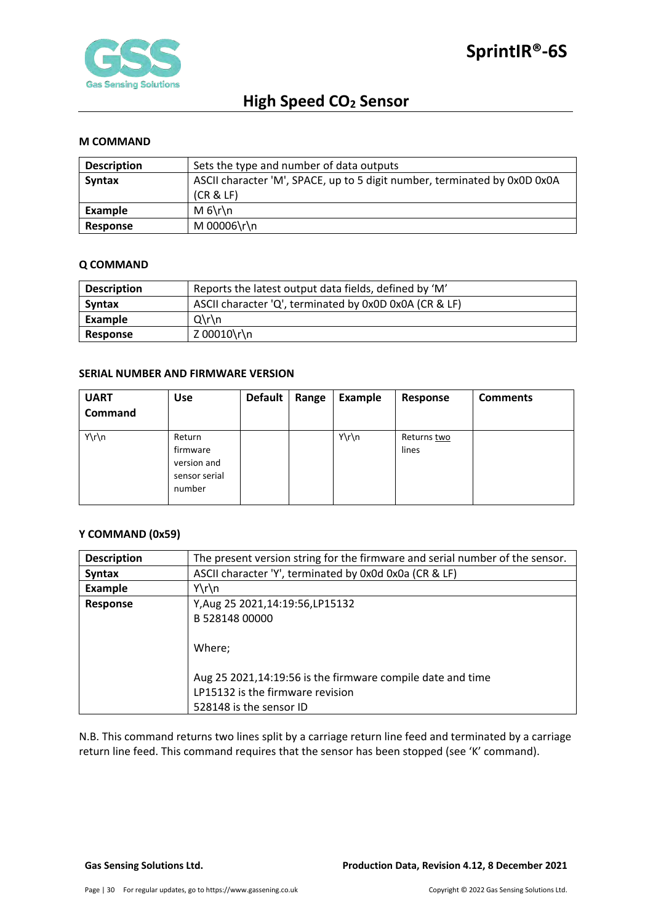

### <span id="page-29-0"></span>**M COMMAND**

| <b>Description</b> | Sets the type and number of data outputs                                  |
|--------------------|---------------------------------------------------------------------------|
| <b>Syntax</b>      | ASCII character 'M', SPACE, up to 5 digit number, terminated by 0x0D 0x0A |
|                    | (CR & E)                                                                  |
| Example            | $M_6\$                                                                    |
| Response           | M 00006\r\n                                                               |

#### <span id="page-29-1"></span>**Q COMMAND**

| <b>Description</b> | Reports the latest output data fields, defined by 'M'  |  |
|--------------------|--------------------------------------------------------|--|
| <b>Syntax</b>      | ASCII character 'Q', terminated by 0x0D 0x0A (CR & LF) |  |
| Example            | $Q\Gamma$                                              |  |
| <b>Response</b>    | Z 00010\r\n                                            |  |

## <span id="page-29-2"></span>**SERIAL NUMBER AND FIRMWARE VERSION**

| <b>UART</b> | <b>Use</b>                                                   | <b>Default</b> | Range | Example | Response             | <b>Comments</b> |
|-------------|--------------------------------------------------------------|----------------|-------|---------|----------------------|-----------------|
| Command     |                                                              |                |       |         |                      |                 |
| Y\r\n       | Return<br>firmware<br>version and<br>sensor serial<br>number |                |       | Y\r\n   | Returns two<br>lines |                 |

# <span id="page-29-3"></span>**Y COMMAND (0x59)**

| <b>Description</b> | The present version string for the firmware and serial number of the sensor. |
|--------------------|------------------------------------------------------------------------------|
| <b>Syntax</b>      | ASCII character 'Y', terminated by 0x0d 0x0a (CR & LF)                       |
| <b>Example</b>     | $Y\r\ln$                                                                     |
| <b>Response</b>    | Y, Aug 25 2021, 14: 19: 56, LP 15132                                         |
|                    | B 528148 00000                                                               |
|                    | Where;                                                                       |
|                    |                                                                              |
|                    | Aug 25 2021,14:19:56 is the firmware compile date and time                   |
|                    | LP15132 is the firmware revision                                             |
|                    | 528148 is the sensor ID                                                      |

N.B. This command returns two lines split by a carriage return line feed and terminated by a carriage return line feed. This command requires that the sensor has been stopped (see 'K' command).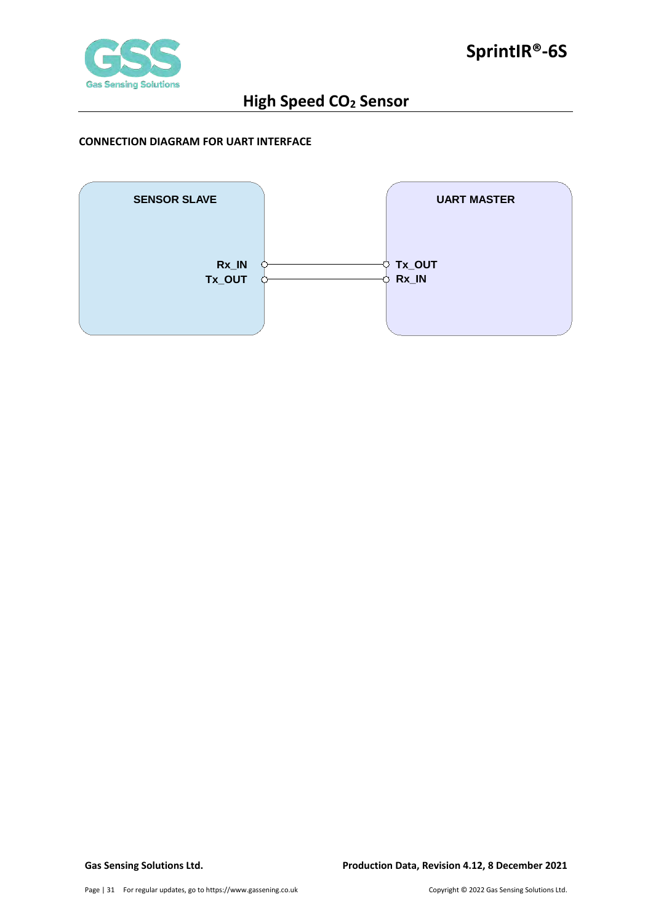

## <span id="page-30-0"></span>**CONNECTION DIAGRAM FOR UART INTERFACE**

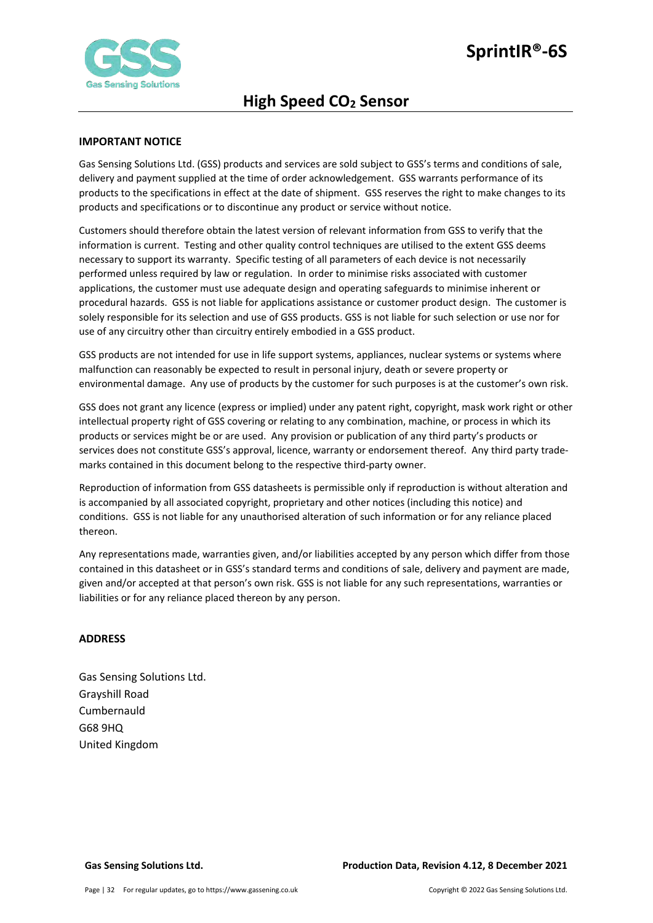

### <span id="page-31-0"></span>**IMPORTANT NOTICE**

Gas Sensing Solutions Ltd. (GSS) products and services are sold subject to GSS's terms and conditions of sale, delivery and payment supplied at the time of order acknowledgement. GSS warrants performance of its products to the specifications in effect at the date of shipment. GSS reserves the right to make changes to its products and specifications or to discontinue any product or service without notice.

Customers should therefore obtain the latest version of relevant information from GSS to verify that the information is current. Testing and other quality control techniques are utilised to the extent GSS deems necessary to support its warranty. Specific testing of all parameters of each device is not necessarily performed unless required by law or regulation. In order to minimise risks associated with customer applications, the customer must use adequate design and operating safeguards to minimise inherent or procedural hazards. GSS is not liable for applications assistance or customer product design. The customer is solely responsible for its selection and use of GSS products. GSS is not liable for such selection or use nor for use of any circuitry other than circuitry entirely embodied in a GSS product.

GSS products are not intended for use in life support systems, appliances, nuclear systems or systems where malfunction can reasonably be expected to result in personal injury, death or severe property or environmental damage. Any use of products by the customer for such purposes is at the customer's own risk.

GSS does not grant any licence (express or implied) under any patent right, copyright, mask work right or other intellectual property right of GSS covering or relating to any combination, machine, or process in which its products or services might be or are used. Any provision or publication of any third party's products or services does not constitute GSS's approval, licence, warranty or endorsement thereof. Any third party trademarks contained in this document belong to the respective third-party owner.

Reproduction of information from GSS datasheets is permissible only if reproduction is without alteration and is accompanied by all associated copyright, proprietary and other notices (including this notice) and conditions. GSS is not liable for any unauthorised alteration of such information or for any reliance placed thereon.

Any representations made, warranties given, and/or liabilities accepted by any person which differ from those contained in this datasheet or in GSS's standard terms and conditions of sale, delivery and payment are made, given and/or accepted at that person's own risk. GSS is not liable for any such representations, warranties or liabilities or for any reliance placed thereon by any person.

#### <span id="page-31-1"></span>**ADDRESS**

Gas Sensing Solutions Ltd. Grayshill Road Cumbernauld G68 9HQ United Kingdom